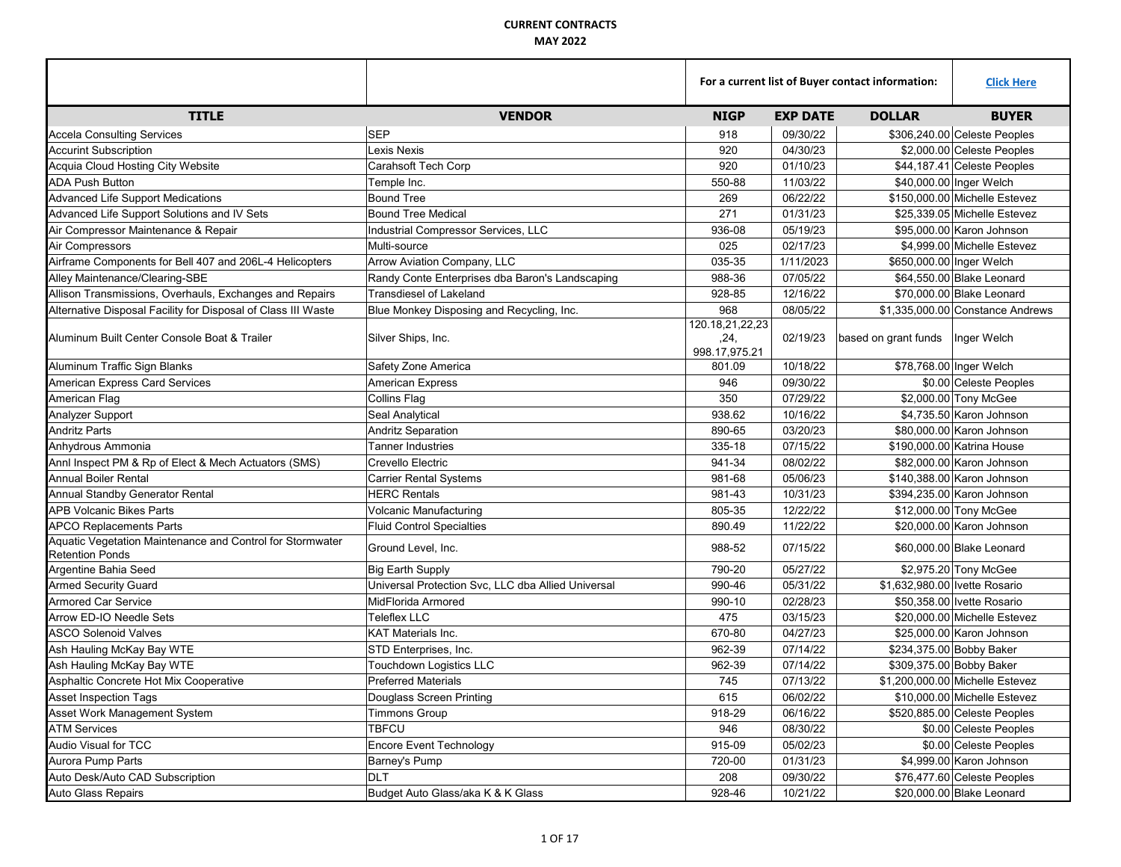|                                                                                     |                                                    | For a current list of Buyer contact information: |                 |                                    | <b>Click Here</b>                |
|-------------------------------------------------------------------------------------|----------------------------------------------------|--------------------------------------------------|-----------------|------------------------------------|----------------------------------|
| <b>TITLE</b>                                                                        | <b>VENDOR</b>                                      | <b>NIGP</b>                                      | <b>EXP DATE</b> | <b>DOLLAR</b>                      | <b>BUYER</b>                     |
| <b>Accela Consulting Services</b>                                                   | <b>SEP</b>                                         | 918                                              | 09/30/22        |                                    | \$306,240.00 Celeste Peoples     |
| <b>Accurint Subscription</b>                                                        | Lexis Nexis                                        | 920                                              | 04/30/23        |                                    | \$2,000.00 Celeste Peoples       |
| Acquia Cloud Hosting City Website                                                   | Carahsoft Tech Corp                                | 920                                              | 01/10/23        |                                    | \$44,187.41 Celeste Peoples      |
| <b>ADA Push Button</b>                                                              | Temple Inc.                                        | 550-88                                           | 11/03/22        |                                    | \$40,000.00 Inger Welch          |
| <b>Advanced Life Support Medications</b>                                            | <b>Bound Tree</b>                                  | 269                                              | 06/22/22        |                                    | \$150,000.00 Michelle Estevez    |
| Advanced Life Support Solutions and IV Sets                                         | <b>Bound Tree Medical</b>                          | 271                                              | 01/31/23        |                                    | \$25,339.05 Michelle Estevez     |
| Air Compressor Maintenance & Repair                                                 | Industrial Compressor Services, LLC                | 936-08                                           | 05/19/23        |                                    | \$95,000.00 Karon Johnson        |
| Air Compressors                                                                     | Multi-source                                       | 025                                              | 02/17/23        |                                    | \$4.999.00 Michelle Estevez      |
| Airframe Components for Bell 407 and 206L-4 Helicopters                             | Arrow Aviation Company, LLC                        | 035-35                                           | 1/11/2023       |                                    | \$650,000.00 Inger Welch         |
| Alley Maintenance/Clearing-SBE                                                      | Randy Conte Enterprises dba Baron's Landscaping    | 988-36                                           | 07/05/22        |                                    | \$64,550.00 Blake Leonard        |
| Allison Transmissions, Overhauls, Exchanges and Repairs                             | <b>Transdiesel of Lakeland</b>                     | 928-85                                           | 12/16/22        |                                    | \$70,000.00 Blake Leonard        |
| Alternative Disposal Facility for Disposal of Class III Waste                       | Blue Monkey Disposing and Recycling, Inc.          | 968                                              | 08/05/22        |                                    | \$1,335,000.00 Constance Andrews |
| Aluminum Built Center Console Boat & Trailer                                        | Silver Ships, Inc.                                 | 120.18.21.22.23<br>.24.<br>998.17,975.21         | 02/19/23        | based on grant funds   Inger Welch |                                  |
| Aluminum Traffic Sign Blanks                                                        | Safety Zone America                                | 801.09                                           | 10/18/22        |                                    | \$78,768.00 Inger Welch          |
| <b>American Express Card Services</b>                                               | <b>American Express</b>                            | 946                                              | 09/30/22        |                                    | \$0.00 Celeste Peoples           |
| American Flag                                                                       | <b>Collins Flag</b>                                | 350                                              | 07/29/22        |                                    | \$2,000.00 Tony McGee            |
| Analyzer Support                                                                    | Seal Analytical                                    | 938.62                                           | 10/16/22        |                                    | \$4,735.50 Karon Johnson         |
| <b>Andritz Parts</b>                                                                | <b>Andritz Separation</b>                          | 890-65                                           | 03/20/23        |                                    | \$80,000,00 Karon Johnson        |
| Anhydrous Ammonia                                                                   | <b>Tanner Industries</b>                           | 335-18                                           | 07/15/22        |                                    | \$190,000.00 Katrina House       |
| Anni Inspect PM & Rp of Elect & Mech Actuators (SMS)                                | Crevello Electric                                  | 941-34                                           | 08/02/22        |                                    | \$82,000.00 Karon Johnson        |
| <b>Annual Boiler Rental</b>                                                         | <b>Carrier Rental Systems</b>                      | 981-68                                           | 05/06/23        |                                    | \$140,388.00 Karon Johnson       |
| Annual Standby Generator Rental                                                     | <b>HERC Rentals</b>                                | 981-43                                           | 10/31/23        |                                    | \$394.235.00 Karon Johnson       |
| <b>APB Volcanic Bikes Parts</b>                                                     | Volcanic Manufacturing                             | 805-35                                           | 12/22/22        |                                    | \$12,000.00 Tony McGee           |
| <b>APCO Replacements Parts</b>                                                      | <b>Fluid Control Specialties</b>                   | 890.49                                           | 11/22/22        |                                    | \$20,000.00 Karon Johnson        |
| Aquatic Vegetation Maintenance and Control for Stormwater<br><b>Retention Ponds</b> | Ground Level, Inc.                                 | 988-52                                           | 07/15/22        |                                    | \$60,000.00 Blake Leonard        |
| Argentine Bahia Seed                                                                | <b>Big Earth Supply</b>                            | 790-20                                           | 05/27/22        |                                    | \$2,975.20 Tony McGee            |
| <b>Armed Security Guard</b>                                                         | Universal Protection Svc, LLC dba Allied Universal | 990-46                                           | 05/31/22        | \$1,632,980.00 Ivette Rosario      |                                  |
| <b>Armored Car Service</b>                                                          | MidFlorida Armored                                 | 990-10                                           | 02/28/23        |                                    | \$50.358.00 Ivette Rosario       |
| Arrow ED-IO Needle Sets                                                             | <b>Teleflex LLC</b>                                | 475                                              | 03/15/23        |                                    | \$20,000.00 Michelle Estevez     |
| <b>ASCO Solenoid Valves</b>                                                         | <b>KAT Materials Inc.</b>                          | 670-80                                           | 04/27/23        |                                    | \$25,000,00 Karon Johnson        |
| Ash Hauling McKay Bay WTE                                                           | STD Enterprises, Inc.                              | 962-39                                           | 07/14/22        |                                    | \$234,375.00 Bobby Baker         |
| Ash Hauling McKay Bay WTE                                                           | <b>Touchdown Logistics LLC</b>                     | 962-39                                           | 07/14/22        |                                    | \$309,375.00 Bobby Baker         |
| Asphaltic Concrete Hot Mix Cooperative                                              | <b>Preferred Materials</b>                         | 745                                              | 07/13/22        |                                    | \$1,200,000.00 Michelle Estevez  |
| <b>Asset Inspection Tags</b>                                                        | Douglass Screen Printing                           | 615                                              | 06/02/22        |                                    | \$10,000,00 Michelle Estevez     |
| Asset Work Management System                                                        | <b>Timmons Group</b>                               | 918-29                                           | 06/16/22        |                                    | \$520,885.00 Celeste Peoples     |
| <b>ATM Services</b>                                                                 | <b>TBFCU</b>                                       | 946                                              | 08/30/22        |                                    | \$0.00 Celeste Peoples           |
| <b>Audio Visual for TCC</b>                                                         | <b>Encore Event Technology</b>                     | 915-09                                           | 05/02/23        |                                    | \$0.00 Celeste Peoples           |
| <b>Aurora Pump Parts</b>                                                            | Barney's Pump                                      | 720-00                                           | 01/31/23        |                                    | \$4,999.00 Karon Johnson         |
| Auto Desk/Auto CAD Subscription                                                     | <b>DLT</b>                                         | 208                                              | 09/30/22        |                                    | \$76,477.60 Celeste Peoples      |
| <b>Auto Glass Repairs</b>                                                           | Budget Auto Glass/aka K & K Glass                  | 928-46                                           | 10/21/22        |                                    | \$20,000.00 Blake Leonard        |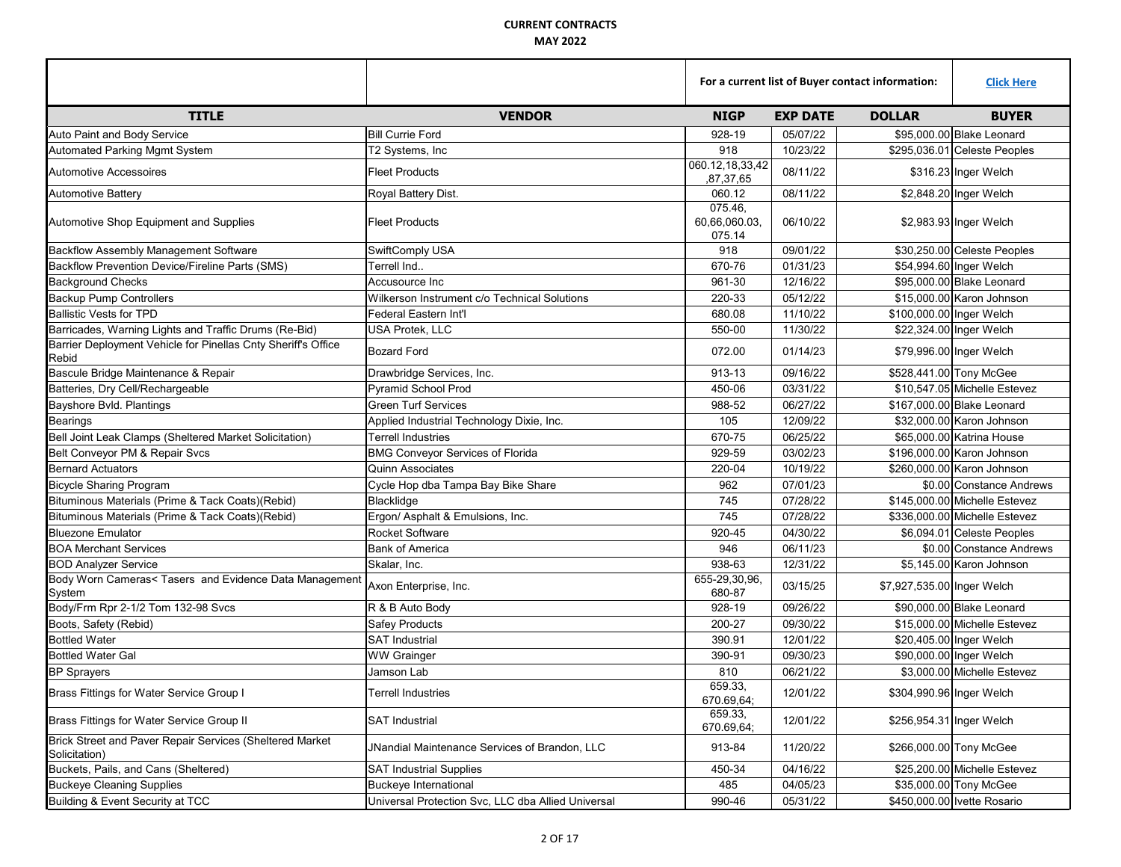|                                                                           |                                                    | For a current list of Buyer contact information: |                 |                            | <b>Click Here</b>             |
|---------------------------------------------------------------------------|----------------------------------------------------|--------------------------------------------------|-----------------|----------------------------|-------------------------------|
| <b>TITLE</b>                                                              | <b>VENDOR</b>                                      | <b>NIGP</b>                                      | <b>EXP DATE</b> | <b>DOLLAR</b>              | <b>BUYER</b>                  |
| Auto Paint and Body Service                                               | Bill Currie Ford                                   | 928-19                                           | 05/07/22        |                            | \$95,000.00 Blake Leonard     |
| Automated Parking Mgmt System                                             | T2 Systems, Inc                                    | 918                                              | 10/23/22        |                            | \$295,036.01 Celeste Peoples  |
| <b>Automotive Accessoires</b>                                             | <b>Fleet Products</b>                              | 060.12,18,33,42<br>,87,37,65                     | 08/11/22        |                            | \$316.23 Inger Welch          |
| <b>Automotive Battery</b>                                                 | Royal Battery Dist.                                | 060.12                                           | 08/11/22        |                            | \$2,848.20 Inger Welch        |
| Automotive Shop Equipment and Supplies                                    | <b>Fleet Products</b>                              | 075.46,<br>60,66,060.03,<br>075.14               | 06/10/22        |                            | \$2,983.93 Inger Welch        |
| <b>Backflow Assembly Management Software</b>                              | SwiftComply USA                                    | 918                                              | 09/01/22        |                            | \$30,250.00 Celeste Peoples   |
| Backflow Prevention Device/Fireline Parts (SMS)                           | Terrell Ind                                        | 670-76                                           | 01/31/23        |                            | \$54,994.60 Inger Welch       |
| <b>Background Checks</b>                                                  | Accusource Inc                                     | 961-30                                           | 12/16/22        |                            | \$95,000.00 Blake Leonard     |
| <b>Backup Pump Controllers</b>                                            | Wilkerson Instrument c/o Technical Solutions       | 220-33                                           | 05/12/22        |                            | \$15,000.00 Karon Johnson     |
| <b>Ballistic Vests for TPD</b>                                            | Federal Eastern Int'l                              | 680.08                                           | 11/10/22        |                            | \$100,000.00 Inger Welch      |
| Barricades, Warning Lights and Traffic Drums (Re-Bid)                     | <b>USA Protek, LLC</b>                             | 550-00                                           | 11/30/22        |                            | \$22,324.00 Inger Welch       |
| Barrier Deployment Vehicle for Pinellas Cnty Sheriff's Office<br>Rebid    | <b>Bozard Ford</b>                                 | 072.00                                           | 01/14/23        |                            | \$79,996.00 Inger Welch       |
| Bascule Bridge Maintenance & Repair                                       | Drawbridge Services, Inc.                          | 913-13                                           | 09/16/22        |                            | \$528,441.00 Tony McGee       |
| Batteries, Dry Cell/Rechargeable                                          | <b>Pyramid School Prod</b>                         | 450-06                                           | 03/31/22        |                            | \$10.547.05 Michelle Estevez  |
| Bayshore Bvld. Plantings                                                  | <b>Green Turf Services</b>                         | 988-52                                           | 06/27/22        |                            | \$167,000,00 Blake Leonard    |
| <b>Bearings</b>                                                           | Applied Industrial Technology Dixie, Inc.          | 105                                              | 12/09/22        |                            | \$32,000.00 Karon Johnson     |
| Bell Joint Leak Clamps (Sheltered Market Solicitation)                    | <b>Terrell Industries</b>                          | 670-75                                           | 06/25/22        |                            | \$65,000.00 Katrina House     |
| Belt Conveyor PM & Repair Svcs                                            | <b>BMG Conveyor Services of Florida</b>            | 929-59                                           | 03/02/23        |                            | \$196,000.00 Karon Johnson    |
| <b>Bernard Actuators</b>                                                  | <b>Quinn Associates</b>                            | 220-04                                           | 10/19/22        |                            | \$260,000.00 Karon Johnson    |
| <b>Bicycle Sharing Program</b>                                            | Cycle Hop dba Tampa Bay Bike Share                 | 962                                              | 07/01/23        |                            | \$0.00 Constance Andrews      |
| Bituminous Materials (Prime & Tack Coats)(Rebid)                          | Blacklidge                                         | 745                                              | 07/28/22        |                            | \$145,000.00 Michelle Estevez |
| Bituminous Materials (Prime & Tack Coats)(Rebid)                          | Ergon/ Asphalt & Emulsions, Inc.                   | 745                                              | 07/28/22        |                            | \$336,000.00 Michelle Estevez |
| <b>Bluezone Emulator</b>                                                  | <b>Rocket Software</b>                             | 920-45                                           | 04/30/22        |                            | \$6,094.01 Celeste Peoples    |
| <b>BOA Merchant Services</b>                                              | <b>Bank of America</b>                             | 946                                              | 06/11/23        |                            | \$0.00 Constance Andrews      |
| <b>BOD Analyzer Service</b>                                               | Skalar, Inc.                                       | 938-63                                           | 12/31/22        |                            | \$5,145.00 Karon Johnson      |
| Body Worn Cameras< Tasers and Evidence Data Management<br>System          | Axon Enterprise, Inc.                              | 655-29,30,96,<br>680-87                          | 03/15/25        | \$7,927,535.00 Inger Welch |                               |
| Body/Frm Rpr 2-1/2 Tom 132-98 Svcs                                        | R & B Auto Body                                    | 928-19                                           | 09/26/22        |                            | \$90,000.00 Blake Leonard     |
| Boots, Safety (Rebid)                                                     | <b>Safey Products</b>                              | 200-27                                           | 09/30/22        |                            | \$15,000.00 Michelle Estevez  |
| <b>Bottled Water</b>                                                      | <b>SAT Industrial</b>                              | 390.91                                           | 12/01/22        |                            | \$20,405.00 Inger Welch       |
| <b>Bottled Water Gal</b>                                                  | <b>WW Grainger</b>                                 | 390-91                                           | 09/30/23        |                            | \$90,000.00 Inger Welch       |
| <b>BP Sprayers</b>                                                        | Jamson Lab                                         | 810                                              | 06/21/22        |                            | \$3,000.00 Michelle Estevez   |
| Brass Fittings for Water Service Group I                                  | <b>Terrell Industries</b>                          | 659.33.<br>670.69,64;                            | 12/01/22        |                            | \$304,990.96 Inger Welch      |
| Brass Fittings for Water Service Group II                                 | <b>SAT Industrial</b>                              | 659.33,<br>670.69,64;                            | 12/01/22        |                            | \$256,954.31 Inger Welch      |
| Brick Street and Paver Repair Services (Sheltered Market<br>Solicitation) | JNandial Maintenance Services of Brandon, LLC      | 913-84                                           | 11/20/22        |                            | \$266,000.00 Tony McGee       |
| Buckets, Pails, and Cans (Sheltered)                                      | <b>SAT Industrial Supplies</b>                     | 450-34                                           | 04/16/22        |                            | \$25,200.00 Michelle Estevez  |
| <b>Buckeye Cleaning Supplies</b>                                          | Buckeye International                              | 485                                              | 04/05/23        |                            | \$35,000.00 Tony McGee        |
| Building & Event Security at TCC                                          | Universal Protection Svc, LLC dba Allied Universal | 990-46                                           | 05/31/22        |                            | \$450,000.00 Ivette Rosario   |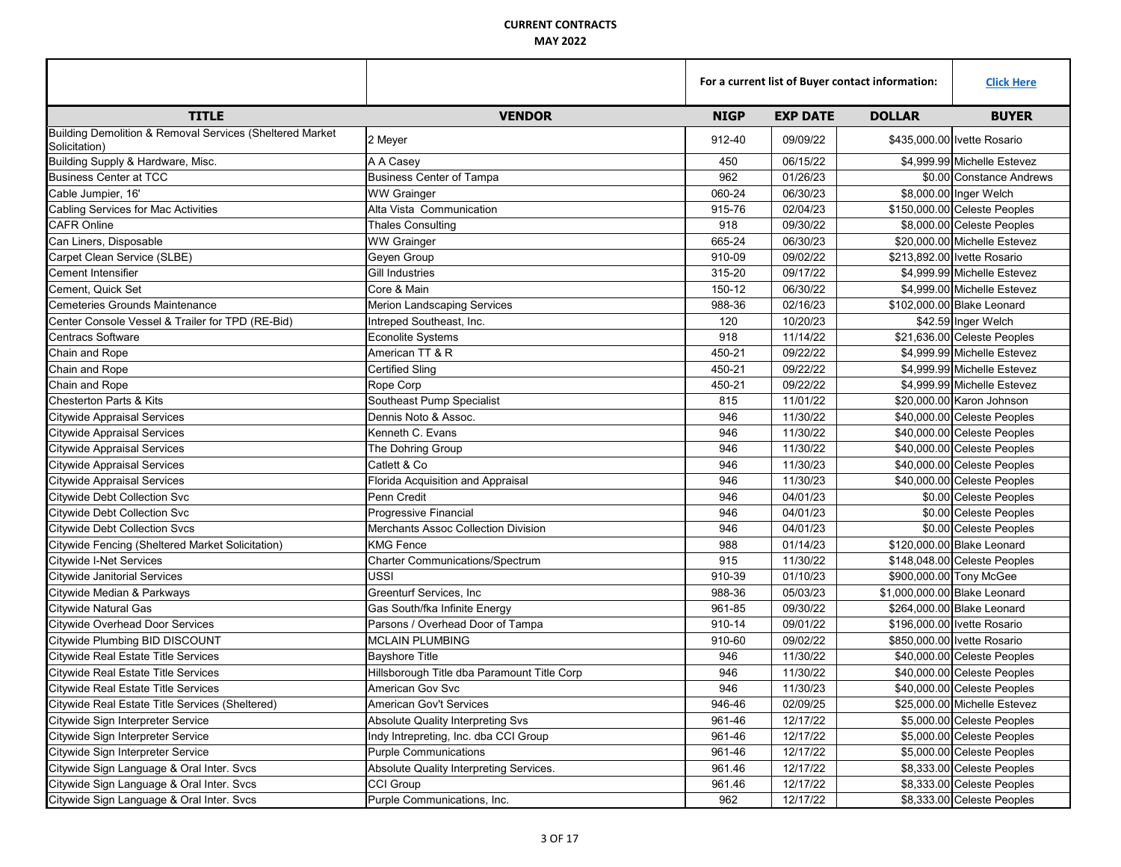|                                                                           |                                             |             | For a current list of Buyer contact information: |               |                              |
|---------------------------------------------------------------------------|---------------------------------------------|-------------|--------------------------------------------------|---------------|------------------------------|
| <b>TITLE</b>                                                              | <b>VENDOR</b>                               | <b>NIGP</b> | <b>EXP DATE</b>                                  | <b>DOLLAR</b> | <b>BUYER</b>                 |
| Building Demolition & Removal Services (Sheltered Market<br>Solicitation) | 2 Meyer                                     | 912-40      | 09/09/22                                         |               | \$435,000.00 Ivette Rosario  |
| Building Supply & Hardware, Misc.                                         | A A Casey                                   | 450         | 06/15/22                                         |               | \$4.999.99 Michelle Estevez  |
| <b>Business Center at TCC</b>                                             | <b>Business Center of Tampa</b>             | 962         | 01/26/23                                         |               | \$0.00 Constance Andrews     |
| Cable Jumpier, 16'                                                        | <b>WW Grainger</b>                          | 060-24      | 06/30/23                                         |               | \$8,000.00 Inger Welch       |
| Cabling Services for Mac Activities                                       | Alta Vista Communication                    | 915-76      | 02/04/23                                         |               | \$150,000.00 Celeste Peoples |
| <b>CAFR Online</b>                                                        | <b>Thales Consulting</b>                    | 918         | 09/30/22                                         |               | \$8,000.00 Celeste Peoples   |
| Can Liners, Disposable                                                    | <b>WW Grainger</b>                          | 665-24      | 06/30/23                                         |               | \$20,000,00 Michelle Estevez |
| Carpet Clean Service (SLBE)                                               | Geyen Group                                 | 910-09      | 09/02/22                                         |               | \$213.892.00 Ivette Rosario  |
| Cement Intensifier                                                        | <b>Gill Industries</b>                      | 315-20      | 09/17/22                                         |               | \$4,999.99 Michelle Estevez  |
| Cement, Quick Set                                                         | Core & Main                                 | 150-12      | 06/30/22                                         |               | \$4,999.00 Michelle Estevez  |
| <b>Cemeteries Grounds Maintenance</b>                                     | <b>Merion Landscaping Services</b>          | 988-36      | 02/16/23                                         |               | \$102,000.00 Blake Leonard   |
| Center Console Vessel & Trailer for TPD (RE-Bid)                          | Intreped Southeast, Inc.                    | 120         | 10/20/23                                         |               | \$42.59 Inger Welch          |
| <b>Centracs Software</b>                                                  | <b>Econolite Systems</b>                    | 918         | 11/14/22                                         |               | \$21,636.00 Celeste Peoples  |
| Chain and Rope                                                            | American TT & R                             | 450-21      | 09/22/22                                         |               | \$4,999.99 Michelle Estevez  |
| Chain and Rope                                                            | <b>Certified Sling</b>                      | 450-21      | 09/22/22                                         |               | \$4,999.99 Michelle Estevez  |
| Chain and Rope                                                            | Rope Corp                                   | 450-21      | 09/22/22                                         |               | \$4.999.99 Michelle Estevez  |
| <b>Chesterton Parts &amp; Kits</b>                                        | Southeast Pump Specialist                   | 815         | 11/01/22                                         |               | \$20,000.00 Karon Johnson    |
| <b>Citywide Appraisal Services</b>                                        | Dennis Noto & Assoc.                        | 946         | 11/30/22                                         |               | \$40,000.00 Celeste Peoples  |
| <b>Citywide Appraisal Services</b>                                        | Kenneth C. Evans                            | 946         | 11/30/22                                         |               | \$40,000.00 Celeste Peoples  |
| <b>Citywide Appraisal Services</b>                                        | The Dohring Group                           | 946         | 11/30/22                                         |               | \$40,000.00 Celeste Peoples  |
| <b>Citywide Appraisal Services</b>                                        | Catlett & Co                                | 946         | 11/30/23                                         |               | \$40,000.00 Celeste Peoples  |
| <b>Citywide Appraisal Services</b>                                        | Florida Acquisition and Appraisal           | 946         | 11/30/23                                         |               | \$40,000.00 Celeste Peoples  |
| <b>Citywide Debt Collection Svc</b>                                       | Penn Credit                                 | 946         | 04/01/23                                         |               | \$0.00 Celeste Peoples       |
| <b>Citywide Debt Collection Svc</b>                                       | Progressive Financial                       | 946         | 04/01/23                                         |               | \$0.00 Celeste Peoples       |
| <b>Citywide Debt Collection Svcs</b>                                      | Merchants Assoc Collection Division         | 946         | 04/01/23                                         |               | \$0.00 Celeste Peoples       |
| Citywide Fencing (Sheltered Market Solicitation)                          | <b>KMG Fence</b>                            | 988         | 01/14/23                                         |               | \$120,000.00 Blake Leonard   |
| <b>Citywide I-Net Services</b>                                            | <b>Charter Communications/Spectrum</b>      | 915         | 11/30/22                                         |               | \$148,048.00 Celeste Peoples |
| Citywide Janitorial Services                                              | <b>USSI</b>                                 | 910-39      | 01/10/23                                         |               | \$900,000.00 Tony McGee      |
| Citywide Median & Parkways                                                | Greenturf Services, Inc.                    | 988-36      | 05/03/23                                         |               | \$1,000,000.00 Blake Leonard |
| Citywide Natural Gas                                                      | Gas South/fka Infinite Energy               | 961-85      | 09/30/22                                         |               | \$264,000.00 Blake Leonard   |
| <b>Citywide Overhead Door Services</b>                                    | Parsons / Overhead Door of Tampa            | 910-14      | 09/01/22                                         |               | \$196,000,00 Ivette Rosario  |
| Citywide Plumbing BID DISCOUNT                                            | <b>MCLAIN PLUMBING</b>                      | 910-60      | 09/02/22                                         |               | \$850,000,00 Ivette Rosario  |
| <b>Citywide Real Estate Title Services</b>                                | <b>Bayshore Title</b>                       | 946         | 11/30/22                                         |               | \$40,000.00 Celeste Peoples  |
| <b>Citywide Real Estate Title Services</b>                                | Hillsborough Title dba Paramount Title Corp | 946         | 11/30/22                                         |               | \$40,000.00 Celeste Peoples  |
| <b>Citywide Real Estate Title Services</b>                                | <b>American Gov Svc</b>                     | 946         | 11/30/23                                         |               | \$40,000.00 Celeste Peoples  |
| Citywide Real Estate Title Services (Sheltered)                           | American Gov't Services                     | 946-46      | 02/09/25                                         |               | \$25,000.00 Michelle Estevez |
| Citywide Sign Interpreter Service                                         | Absolute Quality Interpreting Svs           | 961-46      | 12/17/22                                         |               | \$5,000.00 Celeste Peoples   |
| Citywide Sign Interpreter Service                                         | Indy Intrepreting, Inc. dba CCI Group       | 961-46      | 12/17/22                                         |               | \$5,000.00 Celeste Peoples   |
| Citywide Sign Interpreter Service                                         | <b>Purple Communications</b>                | 961-46      | 12/17/22                                         |               | \$5,000.00 Celeste Peoples   |
| Citywide Sign Language & Oral Inter. Svcs                                 | Absolute Quality Interpreting Services.     | 961.46      | 12/17/22                                         |               | \$8,333.00 Celeste Peoples   |
| Citywide Sign Language & Oral Inter. Svcs                                 | <b>CCI Group</b>                            | 961.46      | 12/17/22                                         |               | \$8,333.00 Celeste Peoples   |
| Citywide Sign Language & Oral Inter. Svcs                                 | Purple Communications, Inc.                 | 962         | 12/17/22                                         |               | \$8,333.00 Celeste Peoples   |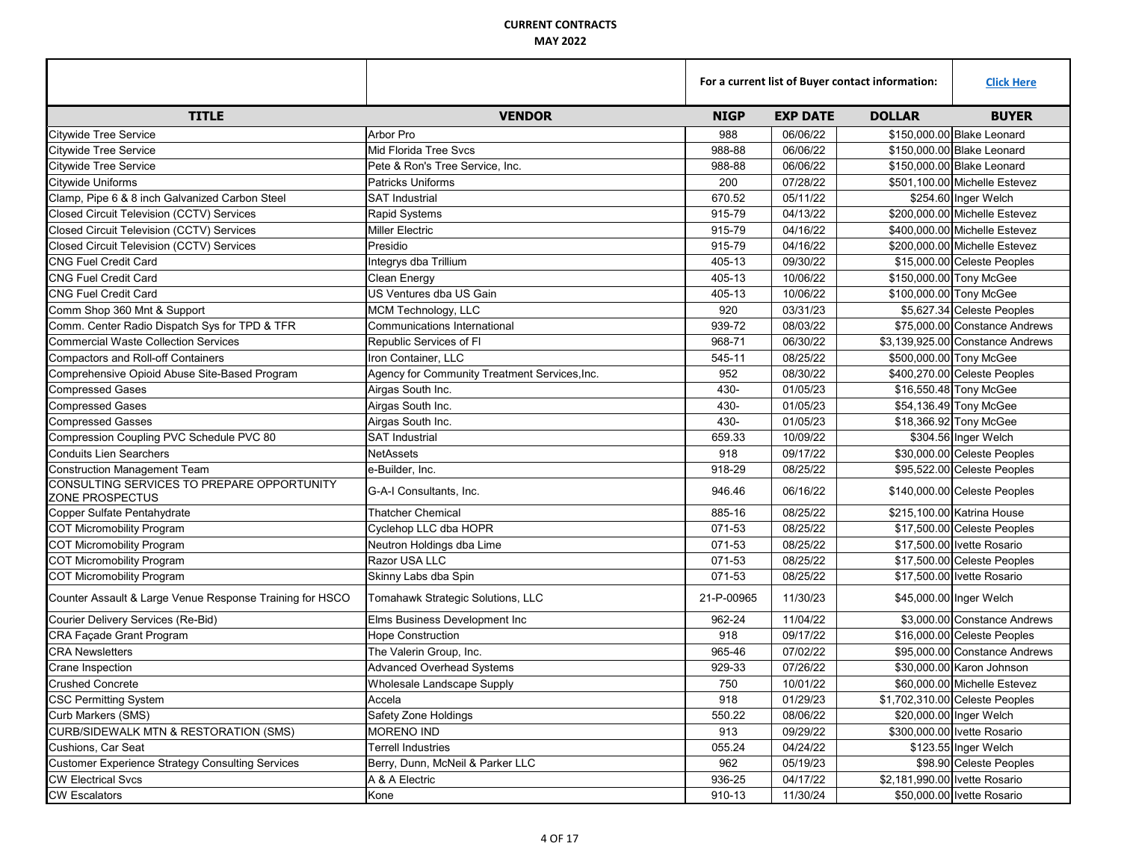|                                                               |                                               | For a current list of Buyer contact information: |                 |                               | <b>Click Here</b>                |
|---------------------------------------------------------------|-----------------------------------------------|--------------------------------------------------|-----------------|-------------------------------|----------------------------------|
| <b>TITLE</b>                                                  | <b>VENDOR</b>                                 | <b>NIGP</b>                                      | <b>EXP DATE</b> | <b>DOLLAR</b>                 | <b>BUYER</b>                     |
| <b>Citywide Tree Service</b>                                  | Arbor Pro                                     | 988                                              | 06/06/22        |                               | \$150,000.00 Blake Leonard       |
| <b>Citywide Tree Service</b>                                  | <b>Mid Florida Tree Svcs</b>                  | 988-88                                           | 06/06/22        |                               | \$150,000,00 Blake Leonard       |
| <b>Citywide Tree Service</b>                                  | Pete & Ron's Tree Service, Inc.               | 988-88                                           | 06/06/22        |                               | \$150,000,00 Blake Leonard       |
| Citywide Uniforms                                             | <b>Patricks Uniforms</b>                      | 200                                              | 07/28/22        |                               | \$501,100.00 Michelle Estevez    |
| Clamp, Pipe 6 & 8 inch Galvanized Carbon Steel                | <b>SAT Industrial</b>                         | 670.52                                           | 05/11/22        |                               | \$254.60 Inger Welch             |
| Closed Circuit Television (CCTV) Services                     | <b>Rapid Systems</b>                          | 915-79                                           | 04/13/22        |                               | \$200,000.00 Michelle Estevez    |
| Closed Circuit Television (CCTV) Services                     | <b>Miller Electric</b>                        | 915-79                                           | 04/16/22        |                               | \$400,000.00 Michelle Estevez    |
| Closed Circuit Television (CCTV) Services                     | Presidio                                      | 915-79                                           | 04/16/22        |                               | \$200,000.00 Michelle Estevez    |
| <b>CNG Fuel Credit Card</b>                                   | Integrys dba Trillium                         | 405-13                                           | 09/30/22        |                               | \$15,000.00 Celeste Peoples      |
| <b>CNG Fuel Credit Card</b>                                   | Clean Energy                                  | 405-13                                           | 10/06/22        |                               | \$150,000.00 Tony McGee          |
| <b>CNG Fuel Credit Card</b>                                   | US Ventures dba US Gain                       | 405-13                                           | 10/06/22        |                               | \$100,000.00 Tony McGee          |
| Comm Shop 360 Mnt & Support                                   | MCM Technology, LLC                           | 920                                              | 03/31/23        |                               | \$5,627.34 Celeste Peoples       |
| Comm. Center Radio Dispatch Sys for TPD & TFR                 | Communications International                  | 939-72                                           | 08/03/22        |                               | \$75,000.00 Constance Andrews    |
| <b>Commercial Waste Collection Services</b>                   | Republic Services of FI                       | 968-71                                           | 06/30/22        |                               | \$3,139,925.00 Constance Andrews |
| <b>Compactors and Roll-off Containers</b>                     | Iron Container, LLC                           | 545-11                                           | 08/25/22        |                               | \$500,000.00 Tony McGee          |
| Comprehensive Opioid Abuse Site-Based Program                 | Agency for Community Treatment Services, Inc. | 952                                              | 08/30/22        |                               | \$400,270.00 Celeste Peoples     |
| <b>Compressed Gases</b>                                       | Airgas South Inc.                             | 430-                                             | 01/05/23        |                               | \$16,550.48 Tony McGee           |
| <b>Compressed Gases</b>                                       | Airgas South Inc.                             | 430-                                             | 01/05/23        |                               | \$54,136.49 Tony McGee           |
| <b>Compressed Gasses</b>                                      | Airgas South Inc.                             | 430-                                             | 01/05/23        |                               | \$18,366.92 Tony McGee           |
| Compression Coupling PVC Schedule PVC 80                      | <b>SAT Industrial</b>                         | 659.33                                           | 10/09/22        |                               | \$304.56 Inger Welch             |
| <b>Conduits Lien Searchers</b>                                | <b>NetAssets</b>                              | 918                                              | 09/17/22        |                               | \$30,000.00 Celeste Peoples      |
| <b>Construction Management Team</b>                           | e-Builder, Inc.                               | 918-29                                           | 08/25/22        |                               | \$95,522.00 Celeste Peoples      |
| CONSULTING SERVICES TO PREPARE OPPORTUNITY<br>ZONE PROSPECTUS | G-A-I Consultants, Inc.                       | 946.46                                           | 06/16/22        |                               | \$140,000.00 Celeste Peoples     |
| Copper Sulfate Pentahydrate                                   | <b>Thatcher Chemical</b>                      | 885-16                                           | 08/25/22        |                               | \$215,100.00 Katrina House       |
| <b>COT Micromobility Program</b>                              | Cyclehop LLC dba HOPR                         | 071-53                                           | 08/25/22        |                               | \$17,500.00 Celeste Peoples      |
| <b>COT Micromobility Program</b>                              | Neutron Holdings dba Lime                     | 071-53                                           | 08/25/22        |                               | \$17,500.00 Ivette Rosario       |
| <b>COT Micromobility Program</b>                              | Razor USA LLC                                 | 071-53                                           | 08/25/22        |                               | \$17,500.00 Celeste Peoples      |
| <b>COT Micromobility Program</b>                              | Skinny Labs dba Spin                          | 071-53                                           | 08/25/22        |                               | \$17,500.00 Ivette Rosario       |
| Counter Assault & Large Venue Response Training for HSCO      | Tomahawk Strategic Solutions, LLC             | 21-P-00965                                       | 11/30/23        |                               | \$45,000.00 Inger Welch          |
| Courier Delivery Services (Re-Bid)                            | Elms Business Development Inc                 | 962-24                                           | 11/04/22        |                               | \$3,000.00 Constance Andrews     |
| CRA Façade Grant Program                                      | <b>Hope Construction</b>                      | 918                                              | 09/17/22        |                               | \$16,000.00 Celeste Peoples      |
| <b>CRA Newsletters</b>                                        | The Valerin Group, Inc.                       | 965-46                                           | 07/02/22        |                               | \$95,000,00 Constance Andrews    |
| Crane Inspection                                              | <b>Advanced Overhead Systems</b>              | 929-33                                           | 07/26/22        |                               | \$30,000.00 Karon Johnson        |
| Crushed Concrete                                              | Wholesale Landscape Supply                    | 750                                              | 10/01/22        |                               | \$60,000.00 Michelle Estevez     |
| <b>CSC Permitting System</b>                                  | Accela                                        | 918                                              | 01/29/23        |                               | \$1,702,310.00 Celeste Peoples   |
| Curb Markers (SMS)                                            | Safety Zone Holdings                          | 550.22                                           | 08/06/22        |                               | \$20,000.00 Inger Welch          |
| CURB/SIDEWALK MTN & RESTORATION (SMS)                         | <b>MORENO IND</b>                             | 913                                              | 09/29/22        |                               | \$300,000.00 Ivette Rosario      |
| Cushions, Car Seat                                            | Terrell Industries                            | 055.24                                           | 04/24/22        |                               | \$123.55 Inger Welch             |
| <b>Customer Experience Strategy Consulting Services</b>       | Berry, Dunn, McNeil & Parker LLC              | 962                                              | 05/19/23        |                               | \$98.90 Celeste Peoples          |
| <b>CW Electrical Svcs</b>                                     | A & A Electric                                | 936-25                                           | 04/17/22        | \$2,181,990.00 Ivette Rosario |                                  |
| <b>CW Escalators</b>                                          | Kone                                          | 910-13                                           | 11/30/24        |                               | \$50,000.00 Ivette Rosario       |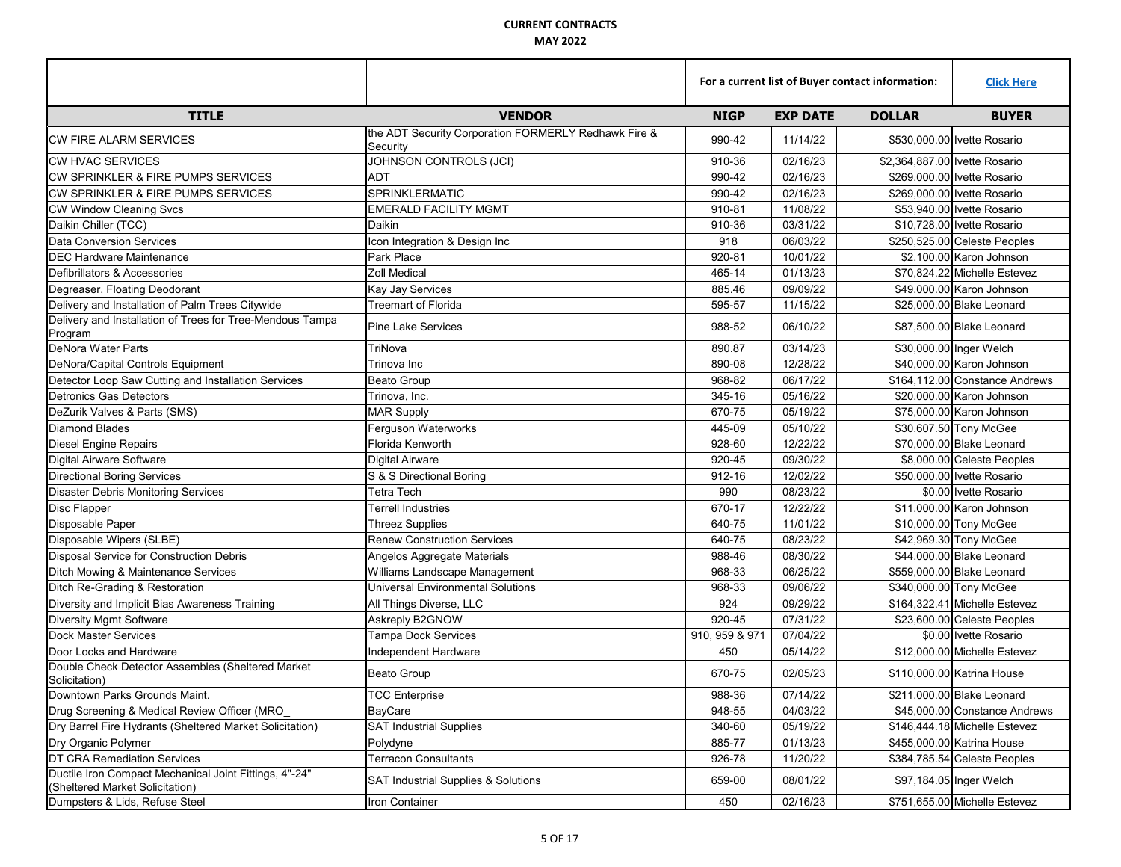|                                                                                           |                                                                  |                | For a current list of Buyer contact information: |                                |  |
|-------------------------------------------------------------------------------------------|------------------------------------------------------------------|----------------|--------------------------------------------------|--------------------------------|--|
| <b>TITLE</b>                                                                              | <b>VENDOR</b>                                                    | <b>NIGP</b>    | <b>EXP DATE</b>                                  | <b>DOLLAR</b><br><b>BUYER</b>  |  |
| <b>CW FIRE ALARM SERVICES</b>                                                             | the ADT Security Corporation FORMERLY Redhawk Fire &<br>Security | 990-42         | 11/14/22                                         | \$530,000.00 Ivette Rosario    |  |
| <b>ICW HVAC SERVICES</b>                                                                  | JOHNSON CONTROLS (JCI)                                           | 910-36         | 02/16/23                                         | \$2,364,887.00 Ivette Rosario  |  |
| CW SPRINKLER & FIRE PUMPS SERVICES                                                        | ADT                                                              | 990-42         | 02/16/23                                         | \$269,000.00 Ivette Rosario    |  |
| CW SPRINKLER & FIRE PUMPS SERVICES                                                        | SPRINKLERMATIC                                                   | 990-42         | 02/16/23                                         | \$269,000.00 Ivette Rosario    |  |
| <b>CW Window Cleaning Svcs</b>                                                            | <b>EMERALD FACILITY MGMT</b>                                     | 910-81         | 11/08/22                                         | \$53.940.00 Ivette Rosario     |  |
| Daikin Chiller (TCC)                                                                      | Daikin                                                           | 910-36         | 03/31/22                                         | \$10,728.00 Ivette Rosario     |  |
| <b>Data Conversion Services</b>                                                           | Icon Integration & Design Inc                                    | 918            | 06/03/22                                         | \$250,525.00 Celeste Peoples   |  |
| <b>DEC Hardware Maintenance</b>                                                           | Park Place                                                       | 920-81         | 10/01/22                                         | \$2,100.00 Karon Johnson       |  |
| Defibrillators & Accessories                                                              | <b>Zoll Medical</b>                                              | 465-14         | 01/13/23                                         | \$70,824.22 Michelle Estevez   |  |
| Degreaser, Floating Deodorant                                                             | Kay Jay Services                                                 | 885.46         | 09/09/22                                         | \$49,000.00 Karon Johnson      |  |
| Delivery and Installation of Palm Trees Citywide                                          | <b>Treemart of Florida</b>                                       | 595-57         | 11/15/22                                         | \$25,000.00 Blake Leonard      |  |
| Delivery and Installation of Trees for Tree-Mendous Tampa<br>Program                      | <b>Pine Lake Services</b>                                        | 988-52         | 06/10/22                                         | \$87,500.00 Blake Leonard      |  |
| DeNora Water Parts                                                                        | TriNova                                                          | 890.87         | 03/14/23                                         | \$30,000.00 Inger Welch        |  |
| DeNora/Capital Controls Equipment                                                         | Trinova Inc                                                      | 890-08         | 12/28/22                                         | \$40,000.00 Karon Johnson      |  |
| Detector Loop Saw Cutting and Installation Services                                       | <b>Beato Group</b>                                               | 968-82         | 06/17/22                                         | \$164,112.00 Constance Andrews |  |
| <b>Detronics Gas Detectors</b>                                                            | Trinova, Inc.                                                    | 345-16         | 05/16/22                                         | \$20,000.00 Karon Johnson      |  |
| DeZurik Valves & Parts (SMS)                                                              | <b>MAR Supply</b>                                                | 670-75         | 05/19/22                                         | \$75,000.00 Karon Johnson      |  |
| Diamond Blades                                                                            | Ferguson Waterworks                                              | 445-09         | 05/10/22                                         | \$30,607.50 Tony McGee         |  |
| Diesel Engine Repairs                                                                     | Florida Kenworth                                                 | 928-60         | 12/22/22                                         | \$70,000.00 Blake Leonard      |  |
| Digital Airware Software                                                                  | Digital Airware                                                  | 920-45         | 09/30/22                                         | \$8,000.00 Celeste Peoples     |  |
| <b>Directional Boring Services</b>                                                        | S & S Directional Boring                                         | 912-16         | 12/02/22                                         | \$50,000.00 Ivette Rosario     |  |
| <b>Disaster Debris Monitoring Services</b>                                                | <b>Tetra Tech</b>                                                | 990            | 08/23/22                                         | \$0.00 Ivette Rosario          |  |
| <b>Disc Flapper</b>                                                                       | Terrell Industries                                               | 670-17         | 12/22/22                                         | \$11,000.00 Karon Johnson      |  |
| Disposable Paper                                                                          | <b>Threez Supplies</b>                                           | 640-75         | 11/01/22                                         | \$10,000.00 Tony McGee         |  |
| Disposable Wipers (SLBE)                                                                  | <b>Renew Construction Services</b>                               | 640-75         | 08/23/22                                         | \$42,969.30 Tony McGee         |  |
| Disposal Service for Construction Debris                                                  | Angelos Aggregate Materials                                      | 988-46         | 08/30/22                                         | \$44,000.00 Blake Leonard      |  |
| Ditch Mowing & Maintenance Services                                                       | Williams Landscape Management                                    | 968-33         | 06/25/22                                         | \$559,000.00 Blake Leonard     |  |
| Ditch Re-Grading & Restoration                                                            | <b>Universal Environmental Solutions</b>                         | 968-33         | 09/06/22                                         | \$340,000.00 Tony McGee        |  |
| Diversity and Implicit Bias Awareness Training                                            | All Things Diverse, LLC                                          | 924            | 09/29/22                                         | \$164,322.41 Michelle Estevez  |  |
| Diversity Mgmt Software                                                                   | Askreply B2GNOW                                                  | 920-45         | 07/31/22                                         | \$23,600.00 Celeste Peoples    |  |
| <b>Dock Master Services</b>                                                               | <b>Tampa Dock Services</b>                                       | 910, 959 & 971 | 07/04/22                                         | \$0.00 Ivette Rosario          |  |
| Door Locks and Hardware                                                                   | Independent Hardware                                             | 450            | 05/14/22                                         | \$12,000.00 Michelle Estevez   |  |
| Double Check Detector Assembles (Sheltered Market<br>Solicitation)                        | <b>Beato Group</b>                                               | 670-75         | 02/05/23                                         | \$110,000.00 Katrina House     |  |
| Downtown Parks Grounds Maint.                                                             | <b>TCC Enterprise</b>                                            | 988-36         | 07/14/22                                         | \$211,000.00 Blake Leonard     |  |
| Drug Screening & Medical Review Officer (MRO                                              | BayCare                                                          | 948-55         | 04/03/22                                         | \$45,000.00 Constance Andrews  |  |
| Dry Barrel Fire Hydrants (Sheltered Market Solicitation)                                  | <b>SAT Industrial Supplies</b>                                   | 340-60         | 05/19/22                                         | \$146,444.18 Michelle Estevez  |  |
| Dry Organic Polymer                                                                       | Polydyne                                                         | 885-77         | 01/13/23                                         | \$455,000.00 Katrina House     |  |
| DT CRA Remediation Services                                                               | <b>Terracon Consultants</b>                                      | 926-78         | 11/20/22                                         | \$384,785.54 Celeste Peoples   |  |
| Ductile Iron Compact Mechanical Joint Fittings, 4"-24"<br>(Sheltered Market Solicitation) | SAT Industrial Supplies & Solutions                              | 659-00         | 08/01/22                                         | \$97,184.05 Inger Welch        |  |
| Dumpsters & Lids, Refuse Steel                                                            | Iron Container                                                   | 450            | 02/16/23                                         | \$751,655.00 Michelle Estevez  |  |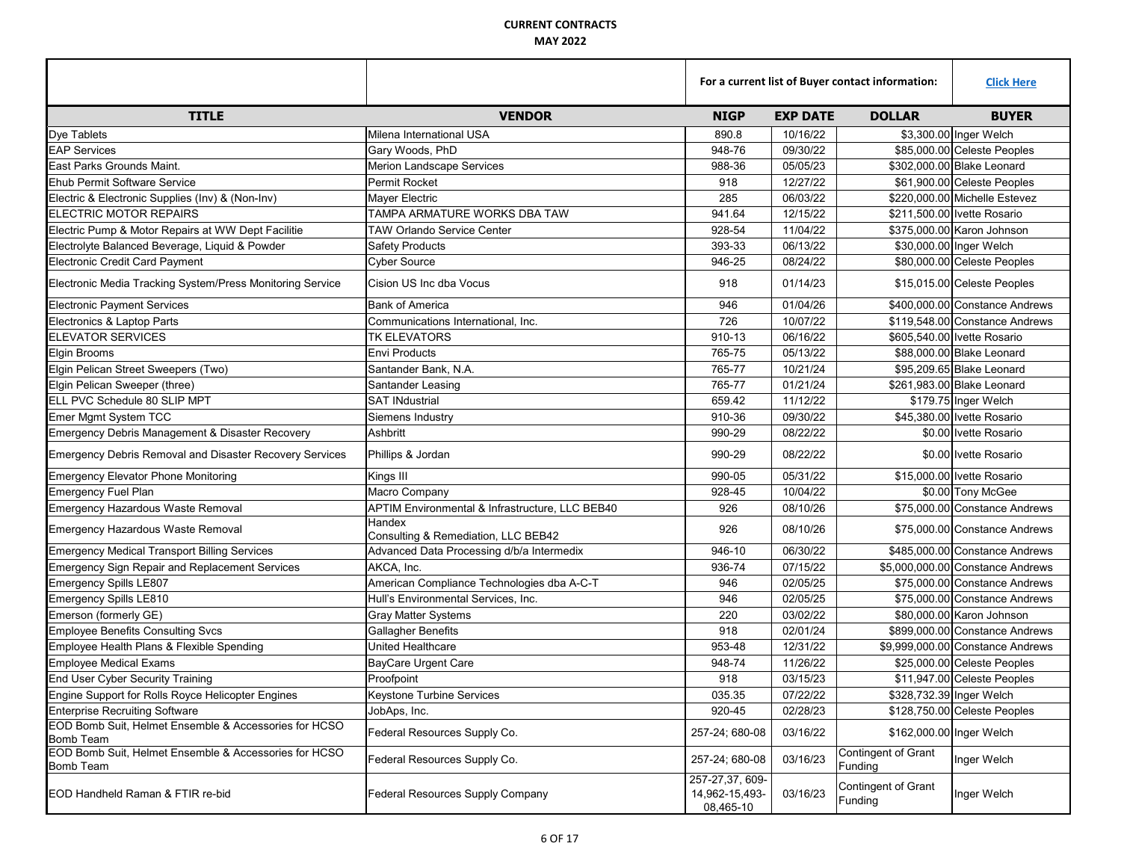|                                                                           |                                                 | For a current list of Buyer contact information: |                 |                                | <b>Click Here</b>                |
|---------------------------------------------------------------------------|-------------------------------------------------|--------------------------------------------------|-----------------|--------------------------------|----------------------------------|
| <b>TITLE</b>                                                              | <b>VENDOR</b>                                   | <b>NIGP</b>                                      | <b>EXP DATE</b> | <b>DOLLAR</b>                  | <b>BUYER</b>                     |
| Dye Tablets                                                               | Milena International USA                        | 890.8                                            | 10/16/22        |                                | \$3,300.00 Inger Welch           |
| <b>EAP Services</b>                                                       | Gary Woods, PhD                                 | 948-76                                           | 09/30/22        |                                | \$85,000.00 Celeste Peoples      |
| East Parks Grounds Maint.                                                 | Merion Landscape Services                       | 988-36                                           | 05/05/23        |                                | \$302,000.00 Blake Leonard       |
| <b>Ehub Permit Software Service</b>                                       | Permit Rocket                                   | 918                                              | 12/27/22        |                                | \$61,900.00 Celeste Peoples      |
| Electric & Electronic Supplies (Inv) & (Non-Inv)                          | Mayer Electric                                  | 285                                              | 06/03/22        |                                | \$220,000.00 Michelle Estevez    |
| ELECTRIC MOTOR REPAIRS                                                    | TAMPA ARMATURE WORKS DBA TAW                    | 941.64                                           | 12/15/22        |                                | \$211,500,00 Ivette Rosario      |
| Electric Pump & Motor Repairs at WW Dept Facilitie                        | <b>TAW Orlando Service Center</b>               | 928-54                                           | 11/04/22        |                                | \$375,000.00 Karon Johnson       |
| Electrolyte Balanced Beverage, Liquid & Powder                            | <b>Safety Products</b>                          | 393-33                                           | 06/13/22        |                                | \$30,000.00 Inger Welch          |
| <b>Electronic Credit Card Payment</b>                                     | <b>Cyber Source</b>                             | 946-25                                           | 08/24/22        |                                | \$80,000.00 Celeste Peoples      |
| Electronic Media Tracking System/Press Monitoring Service                 | Cision US Inc dba Vocus                         | 918                                              | 01/14/23        |                                | \$15,015.00 Celeste Peoples      |
| <b>Electronic Payment Services</b>                                        | <b>Bank of America</b>                          | 946                                              | 01/04/26        |                                | \$400,000.00 Constance Andrews   |
| Electronics & Laptop Parts                                                | Communications International, Inc.              | 726                                              | 10/07/22        |                                | \$119,548.00 Constance Andrews   |
| <b>ELEVATOR SERVICES</b>                                                  | TK ELEVATORS                                    | 910-13                                           | 06/16/22        |                                | \$605,540.00 Ivette Rosario      |
| <b>Elgin Brooms</b>                                                       | <b>Envi Products</b>                            | 765-75                                           | 05/13/22        |                                | \$88,000.00 Blake Leonard        |
| Elgin Pelican Street Sweepers (Two)                                       | Santander Bank, N.A.                            | 765-77                                           | 10/21/24        |                                | \$95,209.65 Blake Leonard        |
| Elgin Pelican Sweeper (three)                                             | Santander Leasing                               | 765-77                                           | 01/21/24        |                                | \$261,983.00 Blake Leonard       |
| ELL PVC Schedule 80 SLIP MPT                                              | <b>SAT INdustrial</b>                           | 659.42                                           | 11/12/22        |                                | \$179.75 Inger Welch             |
| Emer Mgmt System TCC                                                      | Siemens Industry                                | 910-36                                           | 09/30/22        |                                | \$45,380.00 Ivette Rosario       |
| Emergency Debris Management & Disaster Recovery                           | Ashbritt                                        | 990-29                                           | 08/22/22        |                                | \$0.00 Ivette Rosario            |
| Emergency Debris Removal and Disaster Recovery Services                   | Phillips & Jordan                               | 990-29                                           | 08/22/22        |                                | \$0.00 Ivette Rosario            |
| <b>Emergency Elevator Phone Monitoring</b>                                | Kings III                                       | 990-05                                           | 05/31/22        |                                | \$15,000.00 Ivette Rosario       |
| <b>Emergency Fuel Plan</b>                                                | Macro Company                                   | 928-45                                           | 10/04/22        |                                | \$0.00 Tony McGee                |
| Emergency Hazardous Waste Removal                                         | APTIM Environmental & Infrastructure, LLC BEB40 | 926                                              | 08/10/26        |                                | \$75,000.00 Constance Andrews    |
| <b>Emergency Hazardous Waste Removal</b>                                  | Handex<br>Consulting & Remediation, LLC BEB42   | 926                                              | 08/10/26        |                                | \$75,000.00 Constance Andrews    |
| <b>Emergency Medical Transport Billing Services</b>                       | Advanced Data Processing d/b/a Intermedix       | 946-10                                           | 06/30/22        |                                | \$485,000.00 Constance Andrews   |
| <b>Emergency Sign Repair and Replacement Services</b>                     | AKCA, Inc.                                      | 936-74                                           | 07/15/22        |                                | \$5,000,000.00 Constance Andrews |
| Emergency Spills LE807                                                    | American Compliance Technologies dba A-C-T      | 946                                              | 02/05/25        |                                | \$75,000.00 Constance Andrews    |
| <b>Emergency Spills LE810</b>                                             | Hull's Environmental Services, Inc.             | 946                                              | 02/05/25        |                                | \$75,000.00 Constance Andrews    |
| Emerson (formerly GE)                                                     | <b>Gray Matter Systems</b>                      | 220                                              | 03/02/22        |                                | \$80,000,00 Karon Johnson        |
| <b>Employee Benefits Consulting Svcs</b>                                  | <b>Gallagher Benefits</b>                       | 918                                              | 02/01/24        |                                | \$899,000.00 Constance Andrews   |
| Employee Health Plans & Flexible Spending                                 | United Healthcare                               | 953-48                                           | 12/31/22        |                                | \$9,999,000.00 Constance Andrews |
| <b>Employee Medical Exams</b>                                             | <b>BayCare Urgent Care</b>                      | 948-74                                           | 11/26/22        |                                | \$25,000.00 Celeste Peoples      |
| End User Cyber Security Training                                          | Proofpoint                                      | 918                                              | 03/15/23        |                                | \$11,947.00 Celeste Peoples      |
| Engine Support for Rolls Royce Helicopter Engines                         | <b>Keystone Turbine Services</b>                | 035.35                                           | 07/22/22        |                                | \$328,732.39 Inger Welch         |
| <b>Enterprise Recruiting Software</b>                                     | JobAps, Inc.                                    | 920-45                                           | 02/28/23        |                                | \$128,750.00 Celeste Peoples     |
| EOD Bomb Suit, Helmet Ensemble & Accessories for HCSO<br><b>Bomb Team</b> | Federal Resources Supply Co.                    | 257-24; 680-08                                   | 03/16/22        | \$162,000.00 Inger Welch       |                                  |
| EOD Bomb Suit, Helmet Ensemble & Accessories for HCSO<br>Bomb Team        | Federal Resources Supply Co.                    | 257-24; 680-08                                   | 03/16/23        | Contingent of Grant<br>Funding | Inger Welch                      |
| EOD Handheld Raman & FTIR re-bid                                          | Federal Resources Supply Company                | 257-27,37,609-<br>14,962-15,493-<br>08,465-10    | 03/16/23        | Contingent of Grant<br>Funding | Inger Welch                      |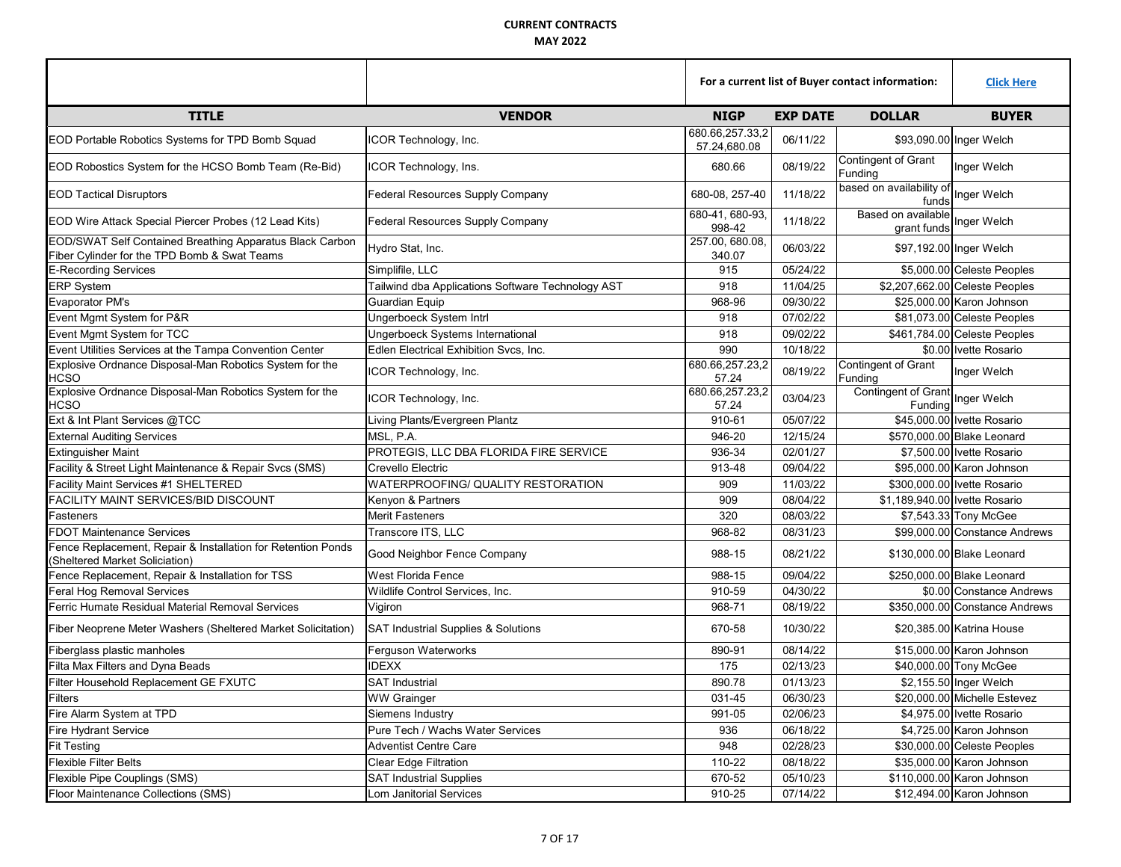|                                                                                                          |                                                   | For a current list of Buyer contact information: |                 |                                                                | <b>Click Here</b>              |
|----------------------------------------------------------------------------------------------------------|---------------------------------------------------|--------------------------------------------------|-----------------|----------------------------------------------------------------|--------------------------------|
| <b>TITLE</b>                                                                                             | <b>VENDOR</b>                                     | <b>NIGP</b>                                      | <b>EXP DATE</b> | <b>DOLLAR</b>                                                  | <b>BUYER</b>                   |
| EOD Portable Robotics Systems for TPD Bomb Squad                                                         | ICOR Technology, Inc.                             | 680.66,257.33,2<br>57.24,680.08                  | 06/11/22        |                                                                | \$93,090.00 Inger Welch        |
| EOD Robostics System for the HCSO Bomb Team (Re-Bid)                                                     | ICOR Technology, Ins.                             | 680.66                                           | 08/19/22        | Contingent of Grant<br>Funding                                 | Inger Welch                    |
| <b>EOD Tactical Disruptors</b>                                                                           | Federal Resources Supply Company                  | 680-08, 257-40                                   | 11/18/22        | based on availability of Inger Welch                           |                                |
| EOD Wire Attack Special Piercer Probes (12 Lead Kits)                                                    | Federal Resources Supply Company                  | 680-41, 680-93,<br>998-42                        | 11/18/22        | Based on available<br>grant funds                              | Inger Welch                    |
| EOD/SWAT Self Contained Breathing Apparatus Black Carbon<br>Fiber Cylinder for the TPD Bomb & Swat Teams | Hydro Stat, Inc.                                  | 257.00, 680.08,<br>340.07                        | 06/03/22        |                                                                | \$97,192.00 Inger Welch        |
| <b>E-Recording Services</b>                                                                              | Simplifile, LLC                                   | 915                                              | 05/24/22        |                                                                | \$5,000.00 Celeste Peoples     |
| <b>ERP System</b>                                                                                        | Tailwind dba Applications Software Technology AST | 918                                              | 11/04/25        |                                                                | \$2,207,662.00 Celeste Peoples |
| <b>Evaporator PM's</b>                                                                                   | Guardian Equip                                    | 968-96                                           | 09/30/22        |                                                                | \$25,000.00 Karon Johnson      |
| Event Mgmt System for P&R                                                                                | Ungerboeck System Intrl                           | 918                                              | 07/02/22        |                                                                | \$81,073.00 Celeste Peoples    |
| Event Mgmt System for TCC                                                                                | Ungerboeck Systems International                  | 918                                              | 09/02/22        |                                                                | \$461,784.00 Celeste Peoples   |
| Event Utilities Services at the Tampa Convention Center                                                  | Edlen Electrical Exhibition Svcs. Inc.            | 990                                              | 10/18/22        |                                                                | \$0.00 Ivette Rosario          |
| Explosive Ordnance Disposal-Man Robotics System for the<br><b>HCSO</b>                                   | ICOR Technology, Inc.                             | 680.66,257.23,2<br>57.24                         | 08/19/22        | Contingent of Grant<br>Funding                                 | Inger Welch                    |
| Explosive Ordnance Disposal-Man Robotics System for the<br><b>HCSO</b>                                   | ICOR Technology, Inc.                             | 680.66,257.23,2<br>57.24                         | 03/04/23        | Contingent of Grant<br>— <b>Contingent of Grant</b><br>Fundina |                                |
| Ext & Int Plant Services @TCC                                                                            | Living Plants/Evergreen Plantz                    | 910-61                                           | 05/07/22        |                                                                | \$45,000.00 Ivette Rosario     |
| <b>External Auditing Services</b>                                                                        | MSL, P.A.                                         | 946-20                                           | 12/15/24        |                                                                | \$570,000.00 Blake Leonard     |
| <b>Extinguisher Maint</b>                                                                                | PROTEGIS, LLC DBA FLORIDA FIRE SERVICE            | 936-34                                           | 02/01/27        |                                                                | \$7,500.00 Ivette Rosario      |
| Facility & Street Light Maintenance & Repair Svcs (SMS)                                                  | Crevello Electric                                 | 913-48                                           | 09/04/22        |                                                                | \$95,000.00 Karon Johnson      |
| Facility Maint Services #1 SHELTERED                                                                     | WATERPROOFING/ QUALITY RESTORATION                | 909                                              | 11/03/22        |                                                                | \$300,000.00 Ivette Rosario    |
| FACILITY MAINT SERVICES/BID DISCOUNT                                                                     | Kenyon & Partners                                 | 909                                              | 08/04/22        | \$1,189,940.00 Ivette Rosario                                  |                                |
| Fasteners                                                                                                | <b>Merit Fasteners</b>                            | 320                                              | 08/03/22        |                                                                | \$7,543.33 Tony McGee          |
| <b>FDOT Maintenance Services</b>                                                                         | Transcore ITS, LLC                                | 968-82                                           | 08/31/23        |                                                                | \$99,000.00 Constance Andrews  |
| Fence Replacement, Repair & Installation for Retention Ponds<br>(Sheltered Market Soliciation)           | Good Neighbor Fence Company                       | 988-15                                           | 08/21/22        |                                                                | \$130,000.00 Blake Leonard     |
| Fence Replacement, Repair & Installation for TSS                                                         | West Florida Fence                                | 988-15                                           | 09/04/22        |                                                                | \$250,000.00 Blake Leonard     |
| Feral Hog Removal Services                                                                               | Wildlife Control Services, Inc.                   | 910-59                                           | 04/30/22        |                                                                | \$0.00 Constance Andrews       |
| Ferric Humate Residual Material Removal Services                                                         | Vigiron                                           | 968-71                                           | 08/19/22        |                                                                | \$350,000.00 Constance Andrews |
| Fiber Neoprene Meter Washers (Sheltered Market Solicitation)                                             | <b>SAT Industrial Supplies &amp; Solutions</b>    | 670-58                                           | 10/30/22        |                                                                | \$20,385.00 Katrina House      |
| Fiberglass plastic manholes                                                                              | Ferguson Waterworks                               | 890-91                                           | 08/14/22        |                                                                | \$15,000.00 Karon Johnson      |
| Filta Max Filters and Dyna Beads                                                                         | <b>IDEXX</b>                                      | 175                                              | 02/13/23        |                                                                | \$40,000.00 Tony McGee         |
| Filter Household Replacement GE FXUTC                                                                    | <b>SAT Industrial</b>                             | 890.78                                           | 01/13/23        |                                                                | \$2,155.50 Inger Welch         |
| Filters                                                                                                  | <b>WW Grainger</b>                                | 031-45                                           | 06/30/23        |                                                                | \$20,000.00 Michelle Estevez   |
| Fire Alarm System at TPD                                                                                 | Siemens Industry                                  | 991-05                                           | 02/06/23        |                                                                | \$4,975.00 Ivette Rosario      |
| Fire Hydrant Service                                                                                     | Pure Tech / Wachs Water Services                  | 936                                              | 06/18/22        |                                                                | \$4,725.00 Karon Johnson       |
| <b>Fit Testing</b>                                                                                       | Adventist Centre Care                             | 948                                              | 02/28/23        |                                                                | \$30,000.00 Celeste Peoples    |
| <b>Flexible Filter Belts</b>                                                                             | Clear Edge Filtration                             | 110-22                                           | 08/18/22        |                                                                | \$35,000.00 Karon Johnson      |
| Flexible Pipe Couplings (SMS)                                                                            | <b>SAT Industrial Supplies</b>                    | 670-52                                           | 05/10/23        |                                                                | \$110,000.00 Karon Johnson     |
| Floor Maintenance Collections (SMS)                                                                      | Lom Janitorial Services                           | 910-25                                           | 07/14/22        |                                                                | \$12,494.00 Karon Johnson      |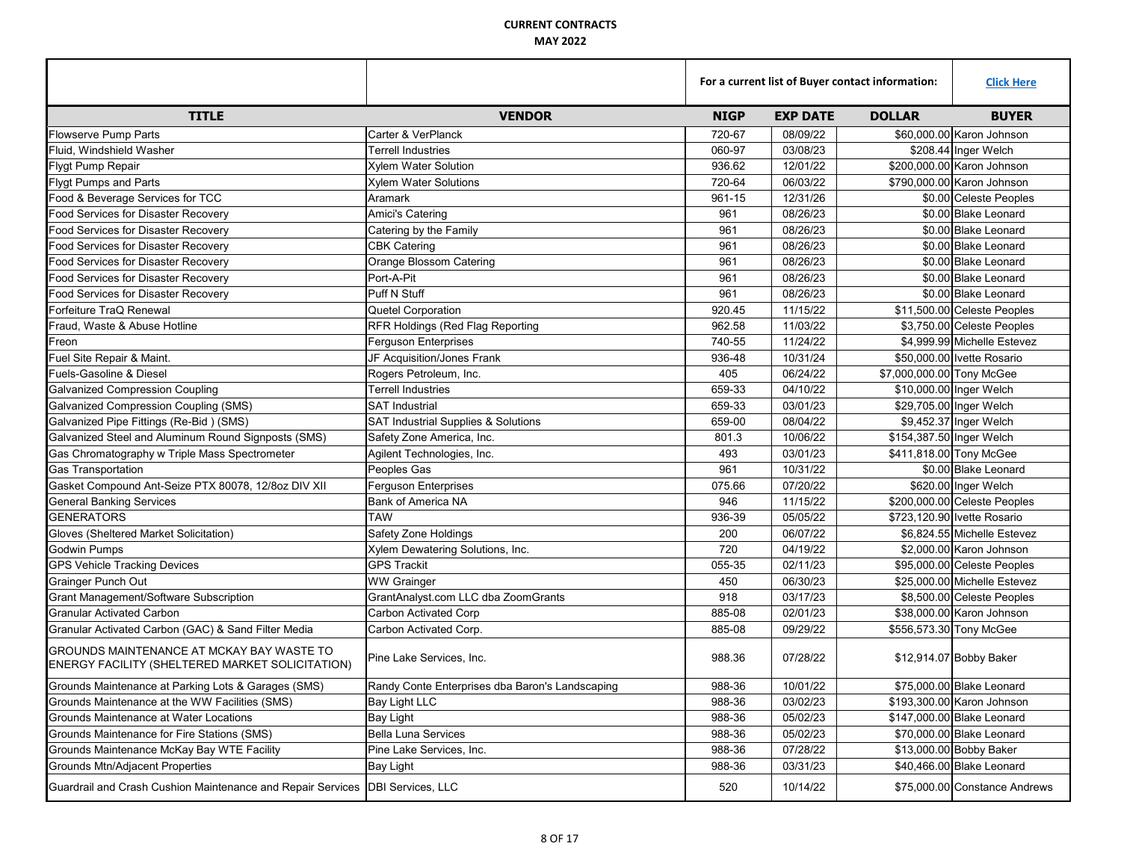|                                                                                              |                                                 | For a current list of Buyer contact information: |                 |                           | <b>Click Here</b>             |
|----------------------------------------------------------------------------------------------|-------------------------------------------------|--------------------------------------------------|-----------------|---------------------------|-------------------------------|
| <b>TITLE</b>                                                                                 | <b>VENDOR</b>                                   | <b>NIGP</b>                                      | <b>EXP DATE</b> | <b>DOLLAR</b>             | <b>BUYER</b>                  |
| <b>Flowserve Pump Parts</b>                                                                  | Carter & VerPlanck                              | 720-67                                           | 08/09/22        |                           | \$60,000.00 Karon Johnson     |
| Fluid, Windshield Washer                                                                     | <b>Terrell Industries</b>                       | 060-97                                           | 03/08/23        |                           | \$208.44 Inger Welch          |
| <b>Flygt Pump Repair</b>                                                                     | <b>Xylem Water Solution</b>                     | 936.62                                           | 12/01/22        |                           | \$200,000.00 Karon Johnson    |
| <b>Flygt Pumps and Parts</b>                                                                 | <b>Xylem Water Solutions</b>                    | 720-64                                           | 06/03/22        |                           | \$790,000.00 Karon Johnson    |
| Food & Beverage Services for TCC                                                             | Aramark                                         | 961-15                                           | 12/31/26        |                           | \$0.00 Celeste Peoples        |
| Food Services for Disaster Recovery                                                          | Amici's Catering                                | 961                                              | 08/26/23        |                           | \$0.00 Blake Leonard          |
| Food Services for Disaster Recovery                                                          | Catering by the Family                          | 961                                              | 08/26/23        |                           | \$0.00 Blake Leonard          |
| Food Services for Disaster Recovery                                                          | <b>CBK Catering</b>                             | 961                                              | 08/26/23        |                           | \$0.00 Blake Leonard          |
| <b>Food Services for Disaster Recovery</b>                                                   | Orange Blossom Catering                         | 961                                              | 08/26/23        |                           | \$0.00 Blake Leonard          |
| Food Services for Disaster Recovery                                                          | Port-A-Pit                                      | 961                                              | 08/26/23        |                           | \$0.00 Blake Leonard          |
| Food Services for Disaster Recovery                                                          | Puff N Stuff                                    | 961                                              | 08/26/23        |                           | \$0.00 Blake Leonard          |
| Forfeiture TraQ Renewal                                                                      | Quetel Corporation                              | 920.45                                           | 11/15/22        |                           | \$11,500.00 Celeste Peoples   |
| Fraud, Waste & Abuse Hotline                                                                 | RFR Holdings (Red Flag Reporting                | 962.58                                           | 11/03/22        |                           | \$3,750.00 Celeste Peoples    |
| Freon                                                                                        | <b>Ferguson Enterprises</b>                     | 740-55                                           | 11/24/22        |                           | \$4.999.99 Michelle Estevez   |
| Fuel Site Repair & Maint.                                                                    | JF Acquisition/Jones Frank                      | 936-48                                           | 10/31/24        |                           | \$50,000.00 Ivette Rosario    |
| Fuels-Gasoline & Diesel                                                                      | Rogers Petroleum, Inc.                          | 405                                              | 06/24/22        | \$7,000,000.00 Tony McGee |                               |
| <b>Galvanized Compression Coupling</b>                                                       | <b>Terrell Industries</b>                       | 659-33                                           | 04/10/22        |                           | \$10,000.00 Inger Welch       |
| <b>Galvanized Compression Coupling (SMS)</b>                                                 | <b>SAT Industrial</b>                           | 659-33                                           | 03/01/23        |                           | \$29,705.00 Inger Welch       |
| Galvanized Pipe Fittings (Re-Bid) (SMS)                                                      | SAT Industrial Supplies & Solutions             | 659-00                                           | 08/04/22        |                           | \$9,452.37 Inger Welch        |
| Galvanized Steel and Aluminum Round Signposts (SMS)                                          | Safety Zone America, Inc.                       | 801.3                                            | 10/06/22        | \$154,387.50 Inger Welch  |                               |
| Gas Chromatography w Triple Mass Spectrometer                                                | Agilent Technologies, Inc.                      | 493                                              | 03/01/23        |                           | \$411,818.00 Tony McGee       |
| <b>Gas Transportation</b>                                                                    | Peoples Gas                                     | 961                                              | 10/31/22        |                           | \$0.00 Blake Leonard          |
| Gasket Compound Ant-Seize PTX 80078, 12/8oz DIV XII                                          | <b>Ferguson Enterprises</b>                     | 075.66                                           | 07/20/22        |                           | \$620.00 Inger Welch          |
| <b>General Banking Services</b>                                                              | Bank of America NA                              | 946                                              | 11/15/22        |                           | \$200,000.00 Celeste Peoples  |
| <b>GENERATORS</b>                                                                            | <b>TAW</b>                                      | 936-39                                           | 05/05/22        |                           | \$723,120.90 Ivette Rosario   |
| Gloves (Sheltered Market Solicitation)                                                       | Safety Zone Holdings                            | 200                                              | 06/07/22        |                           | \$6,824.55 Michelle Estevez   |
| <b>Godwin Pumps</b>                                                                          | Xylem Dewatering Solutions, Inc.                | 720                                              | 04/19/22        |                           | \$2,000.00 Karon Johnson      |
| <b>GPS Vehicle Tracking Devices</b>                                                          | <b>GPS Trackit</b>                              | 055-35                                           | 02/11/23        |                           | \$95,000.00 Celeste Peoples   |
| <b>Grainger Punch Out</b>                                                                    | <b>WW Grainger</b>                              | 450                                              | 06/30/23        |                           | \$25,000,00 Michelle Estevez  |
| Grant Management/Software Subscription                                                       | GrantAnalyst.com LLC dba ZoomGrants             | 918                                              | 03/17/23        |                           | \$8,500.00 Celeste Peoples    |
| <b>Granular Activated Carbon</b>                                                             | Carbon Activated Corp                           | 885-08                                           | 02/01/23        |                           | \$38,000.00 Karon Johnson     |
| Granular Activated Carbon (GAC) & Sand Filter Media                                          | Carbon Activated Corp.                          | 885-08                                           | 09/29/22        |                           | \$556,573.30 Tony McGee       |
| GROUNDS MAINTENANCE AT MCKAY BAY WASTE TO<br>ENERGY FACILITY (SHELTERED MARKET SOLICITATION) | Pine Lake Services, Inc.                        | 988.36                                           | 07/28/22        |                           | \$12,914.07 Bobby Baker       |
| Grounds Maintenance at Parking Lots & Garages (SMS)                                          | Randy Conte Enterprises dba Baron's Landscaping | 988-36                                           | 10/01/22        |                           | \$75,000.00 Blake Leonard     |
| Grounds Maintenance at the WW Facilities (SMS)                                               | Bay Light LLC                                   | 988-36                                           | 03/02/23        |                           | \$193,300.00 Karon Johnson    |
| Grounds Maintenance at Water Locations                                                       | <b>Bay Light</b>                                | 988-36                                           | 05/02/23        |                           | \$147,000.00 Blake Leonard    |
| Grounds Maintenance for Fire Stations (SMS)                                                  | <b>Bella Luna Services</b>                      | 988-36                                           | 05/02/23        |                           | \$70,000.00 Blake Leonard     |
| Grounds Maintenance McKay Bay WTE Facility                                                   | Pine Lake Services, Inc.                        | 988-36                                           | 07/28/22        |                           | \$13,000.00 Bobby Baker       |
| Grounds Mtn/Adjacent Properties                                                              | <b>Bay Light</b>                                | 988-36                                           | 03/31/23        |                           | \$40,466.00 Blake Leonard     |
| Guardrail and Crash Cushion Maintenance and Repair Services DBI Services, LLC                |                                                 | 520                                              | 10/14/22        |                           | \$75,000,00 Constance Andrews |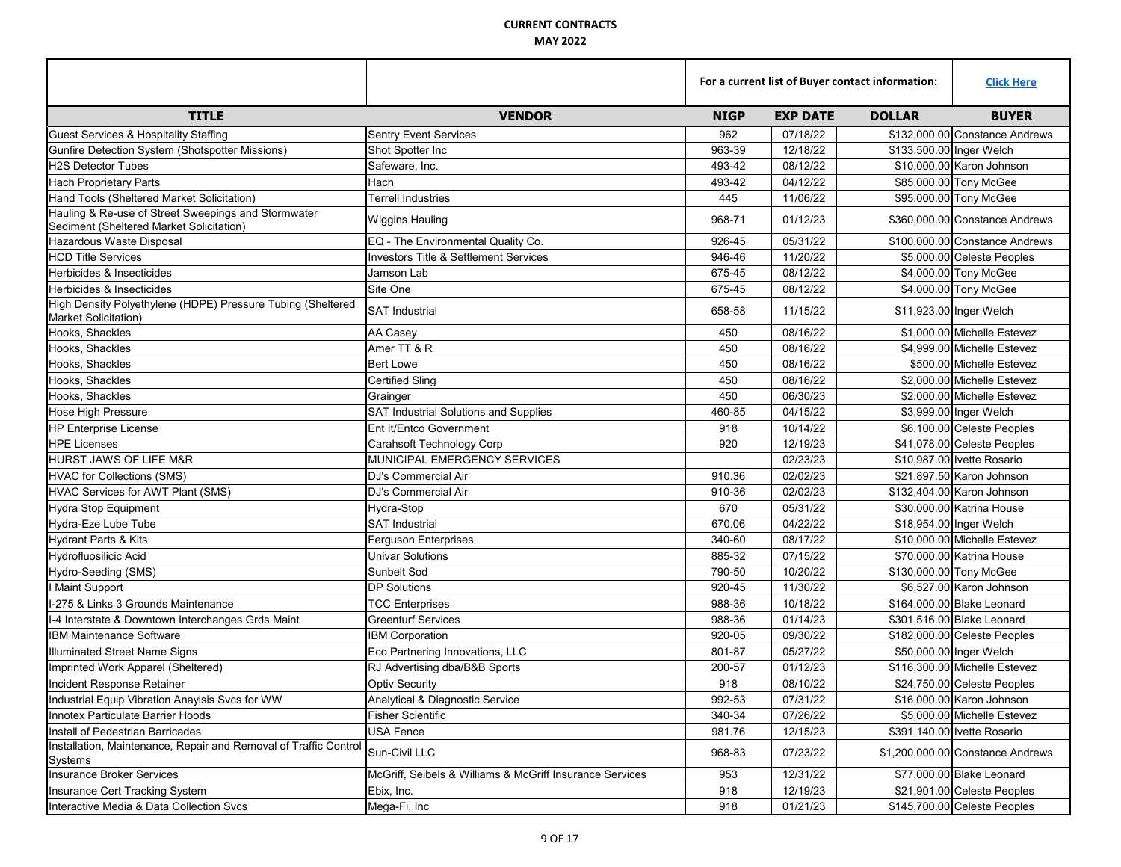|                                                                                                 |                                                          | For a current list of Buyer contact information: |                 |                             | <b>Click Here</b>                |
|-------------------------------------------------------------------------------------------------|----------------------------------------------------------|--------------------------------------------------|-----------------|-----------------------------|----------------------------------|
| <b>TITLE</b>                                                                                    | <b>VENDOR</b>                                            | <b>NIGP</b>                                      | <b>EXP DATE</b> | <b>DOLLAR</b>               | <b>BUYER</b>                     |
| <b>Guest Services &amp; Hospitality Staffing</b>                                                | <b>Sentry Event Services</b>                             | 962                                              | 07/18/22        |                             | \$132,000,00 Constance Andrews   |
| Gunfire Detection System (Shotspotter Missions)                                                 | Shot Spotter Inc                                         | 963-39                                           | 12/18/22        | \$133,500.00 Inger Welch    |                                  |
| <b>H2S Detector Tubes</b>                                                                       | Safeware, Inc.                                           | 493-42                                           | 08/12/22        |                             | \$10,000.00 Karon Johnson        |
| <b>Hach Proprietary Parts</b>                                                                   | Hach                                                     | 493-42                                           | 04/12/22        | \$85,000.00 Tony McGee      |                                  |
| Hand Tools (Sheltered Market Solicitation)                                                      | Terrell Industries                                       | 445                                              | 11/06/22        | \$95,000.00 Tony McGee      |                                  |
| Hauling & Re-use of Street Sweepings and Stormwater<br>Sediment (Sheltered Market Solicitation) | <b>Wiggins Hauling</b>                                   | 968-71                                           | 01/12/23        |                             | \$360,000.00 Constance Andrews   |
| Hazardous Waste Disposal                                                                        | EQ - The Environmental Quality Co.                       | 926-45                                           | 05/31/22        |                             | \$100,000.00 Constance Andrews   |
| <b>HCD Title Services</b>                                                                       | Investors Title & Settlement Services                    | 946-46                                           | 11/20/22        |                             | \$5,000.00 Celeste Peoples       |
| Herbicides & Insecticides                                                                       | Jamson Lab                                               | 675-45                                           | 08/12/22        |                             | \$4,000.00 Tony McGee            |
| Herbicides & Insecticides                                                                       | Site One                                                 | 675-45                                           | 08/12/22        |                             | \$4,000.00 Tony McGee            |
| High Density Polyethylene (HDPE) Pressure Tubing (Sheltered<br><b>Market Solicitation)</b>      | <b>SAT Industrial</b>                                    | 658-58                                           | 11/15/22        | \$11,923.00 Inger Welch     |                                  |
| Hooks, Shackles                                                                                 | AA Casey                                                 | 450                                              | 08/16/22        |                             | \$1,000.00 Michelle Estevez      |
| Hooks, Shackles                                                                                 | Amer TT & R                                              | 450                                              | 08/16/22        |                             | \$4,999.00 Michelle Estevez      |
| Hooks, Shackles                                                                                 | <b>Bert Lowe</b>                                         | 450                                              | 08/16/22        |                             | \$500.00 Michelle Estevez        |
| Hooks, Shackles                                                                                 | <b>Certified Sling</b>                                   | 450                                              | 08/16/22        |                             | \$2.000.00 Michelle Estevez      |
| Hooks, Shackles                                                                                 | Grainger                                                 | 450                                              | 06/30/23        |                             | \$2,000.00 Michelle Estevez      |
| Hose High Pressure                                                                              | SAT Industrial Solutions and Supplies                    | 460-85                                           | 04/15/22        | \$3,999.00 Inger Welch      |                                  |
| <b>HP Enterprise License</b>                                                                    | Ent It/Entco Government                                  | 918                                              | 10/14/22        |                             | \$6,100.00 Celeste Peoples       |
| <b>HPE Licenses</b>                                                                             | Carahsoft Technology Corp                                | 920                                              | 12/19/23        |                             | \$41,078.00 Celeste Peoples      |
| HURST JAWS OF LIFE M&R                                                                          | MUNICIPAL EMERGENCY SERVICES                             |                                                  | 02/23/23        | \$10,987.00 Ivette Rosario  |                                  |
| <b>HVAC for Collections (SMS)</b>                                                               | DJ's Commercial Air                                      | 910.36                                           | 02/02/23        |                             | \$21,897.50 Karon Johnson        |
| HVAC Services for AWT Plant (SMS)                                                               | DJ's Commercial Air                                      | 910-36                                           | 02/02/23        |                             | \$132,404.00 Karon Johnson       |
| <b>Hydra Stop Equipment</b>                                                                     | Hydra-Stop                                               | 670                                              | 05/31/22        |                             | \$30,000.00 Katrina House        |
| Hydra-Eze Lube Tube                                                                             | <b>SAT Industrial</b>                                    | 670.06                                           | 04/22/22        | \$18,954.00 Inger Welch     |                                  |
| <b>Hydrant Parts &amp; Kits</b>                                                                 | Ferguson Enterprises                                     | 340-60                                           | 08/17/22        |                             | \$10,000.00 Michelle Estevez     |
| <b>Hydrofluosilicic Acid</b>                                                                    | <b>Univar Solutions</b>                                  | 885-32                                           | 07/15/22        |                             | \$70,000.00 Katrina House        |
| Hydro-Seeding (SMS)                                                                             | Sunbelt Sod                                              | 790-50                                           | 10/20/22        | \$130,000.00 Tony McGee     |                                  |
| I Maint Support                                                                                 | <b>DP Solutions</b>                                      | 920-45                                           | 11/30/22        |                             | \$6,527.00 Karon Johnson         |
| I-275 & Links 3 Grounds Maintenance                                                             | <b>TCC Enterprises</b>                                   | 988-36                                           | 10/18/22        | \$164,000.00 Blake Leonard  |                                  |
| I-4 Interstate & Downtown Interchanges Grds Maint                                               | <b>Greenturf Services</b>                                | 988-36                                           | 01/14/23        | \$301,516.00 Blake Leonard  |                                  |
| <b>IBM Maintenance Software</b>                                                                 | <b>IBM Corporation</b>                                   | 920-05                                           | 09/30/22        |                             | \$182,000.00 Celeste Peoples     |
| <b>Illuminated Street Name Signs</b>                                                            | Eco Partnering Innovations, LLC                          | 801-87                                           | 05/27/22        | \$50,000.00 Inger Welch     |                                  |
| Imprinted Work Apparel (Sheltered)                                                              | RJ Advertising dba/B&B Sports                            | 200-57                                           | 01/12/23        |                             | \$116,300.00 Michelle Estevez    |
| Incident Response Retainer                                                                      | <b>Optiv Security</b>                                    | 918                                              | 08/10/22        |                             | \$24,750.00 Celeste Peoples      |
| Industrial Equip Vibration Anaylsis Svcs for WW                                                 | Analytical & Diagnostic Service                          | 992-53                                           | 07/31/22        |                             | \$16,000.00 Karon Johnson        |
| Innotex Particulate Barrier Hoods                                                               | <b>Fisher Scientific</b>                                 | 340-34                                           | 07/26/22        |                             | \$5,000.00 Michelle Estevez      |
| Install of Pedestrian Barricades                                                                | USA Fence                                                | 981.76                                           | 12/15/23        | \$391,140.00 Ivette Rosario |                                  |
| Installation, Maintenance, Repair and Removal of Traffic Control<br>Systems                     | Sun-Civil LLC                                            | 968-83                                           | 07/23/22        |                             | \$1,200,000.00 Constance Andrews |
| <b>Insurance Broker Services</b>                                                                | McGriff, Seibels & Williams & McGriff Insurance Services | 953                                              | 12/31/22        |                             | \$77,000.00 Blake Leonard        |
| Insurance Cert Tracking System                                                                  | Ebix, Inc.                                               | 918                                              | 12/19/23        |                             | \$21,901.00 Celeste Peoples      |
| Interactive Media & Data Collection Svcs                                                        | Mega-Fi, Inc                                             | 918                                              | 01/21/23        |                             | \$145,700.00 Celeste Peoples     |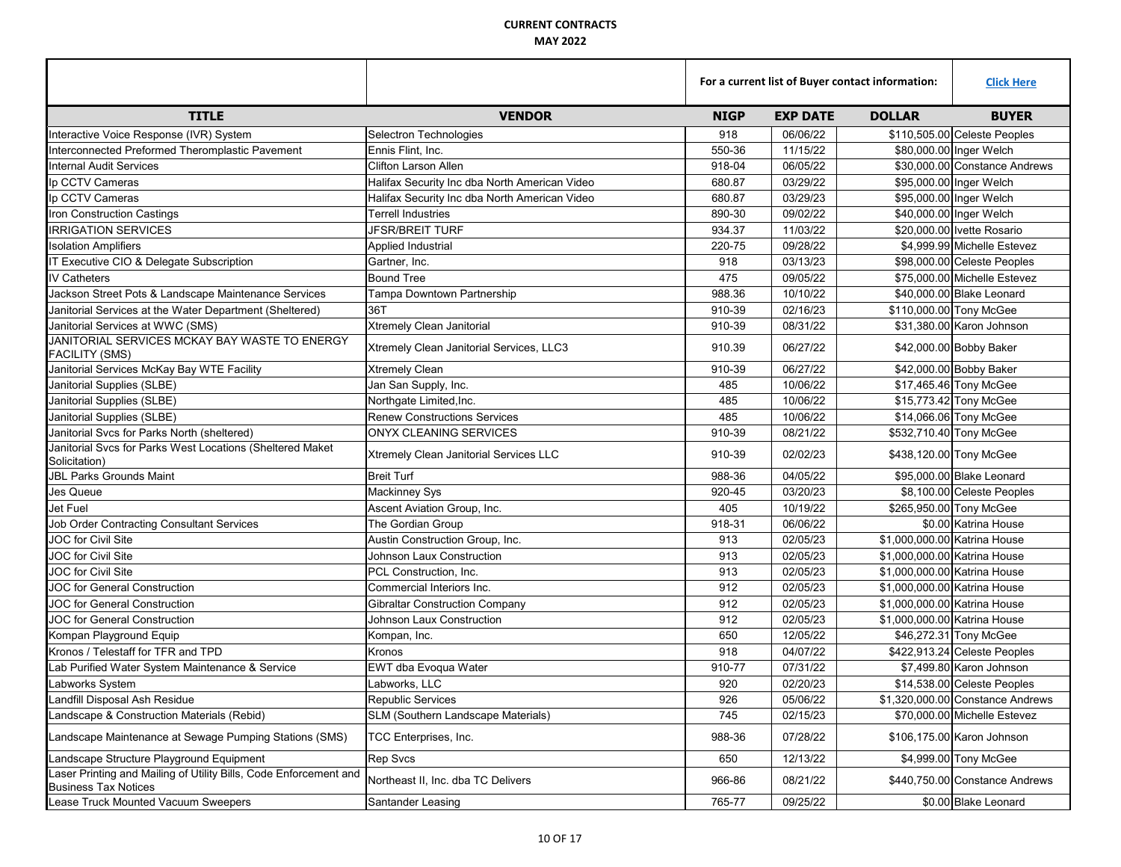|                                                                                                  |                                               | For a current list of Buyer contact information: |                 |                              | <b>Click Here</b>                 |
|--------------------------------------------------------------------------------------------------|-----------------------------------------------|--------------------------------------------------|-----------------|------------------------------|-----------------------------------|
| <b>TITLE</b>                                                                                     | <b>VENDOR</b>                                 | <b>NIGP</b>                                      | <b>EXP DATE</b> | <b>DOLLAR</b>                | <b>BUYER</b>                      |
| Interactive Voice Response (IVR) System                                                          | Selectron Technologies                        | 918                                              | 06/06/22        |                              | \$110,505.00 Celeste Peoples      |
| Interconnected Preformed Theromplastic Pavement                                                  | Ennis Flint, Inc.                             | 550-36                                           | 11/15/22        |                              | \$80,000.00 Inger Welch           |
| <b>Internal Audit Services</b>                                                                   | <b>Clifton Larson Allen</b>                   | 918-04                                           | 06/05/22        |                              | \$30,000.00 Constance Andrews     |
| Ip CCTV Cameras                                                                                  | Halifax Security Inc dba North American Video | 680.87                                           | 03/29/22        |                              | \$95,000.00 Inger Welch           |
| Ip CCTV Cameras                                                                                  | Halifax Security Inc dba North American Video | 680.87                                           | 03/29/23        |                              | \$95,000.00 Inger Welch           |
| Iron Construction Castings                                                                       | <b>Terrell Industries</b>                     | 890-30                                           | 09/02/22        |                              | \$40,000.00 Inger Welch           |
| <b>IRRIGATION SERVICES</b>                                                                       | <b>JFSR/BREIT TURF</b>                        | 934.37                                           | 11/03/22        |                              | \$20,000.00 Ivette Rosario        |
| <b>Isolation Amplifiers</b>                                                                      | Applied Industrial                            | 220-75                                           | 09/28/22        |                              | \$4,999.99 Michelle Estevez       |
| IT Executive CIO & Delegate Subscription                                                         | Gartner, Inc.                                 | 918                                              | 03/13/23        |                              | \$98,000.00 Celeste Peoples       |
| <b>IV Catheters</b>                                                                              | <b>Bound Tree</b>                             | 475                                              | 09/05/22        |                              | \$75,000.00 Michelle Estevez      |
| Jackson Street Pots & Landscape Maintenance Services                                             | Tampa Downtown Partnership                    | 988.36                                           | 10/10/22        |                              | \$40,000.00 Blake Leonard         |
| Janitorial Services at the Water Department (Sheltered)                                          | 36T                                           | 910-39                                           | 02/16/23        |                              | \$110,000.00 Tony McGee           |
| Janitorial Services at WWC (SMS)                                                                 | Xtremely Clean Janitorial                     | 910-39                                           | 08/31/22        |                              | \$31,380.00 Karon Johnson         |
| JANITORIAL SERVICES MCKAY BAY WASTE TO ENERGY<br><b>FACILITY (SMS)</b>                           | Xtremely Clean Janitorial Services, LLC3      | 910.39                                           | 06/27/22        |                              | \$42,000.00 Bobby Baker           |
| Janitorial Services McKay Bay WTE Facility                                                       | <b>Xtremely Clean</b>                         | 910-39                                           | 06/27/22        |                              | \$42,000.00 Bobby Baker           |
| Janitorial Supplies (SLBE)                                                                       | Jan San Supply, Inc.                          | 485                                              | 10/06/22        |                              | \$17,465.46 Tony McGee            |
| Janitorial Supplies (SLBE)                                                                       | Northgate Limited, Inc.                       | 485                                              | 10/06/22        |                              | \$15,773.42 Tony McGee            |
| Janitorial Supplies (SLBE)                                                                       | <b>Renew Constructions Services</b>           | 485                                              | 10/06/22        |                              | \$14,066.06 Tony McGee            |
| Janitorial Svcs for Parks North (sheltered)                                                      | ONYX CLEANING SERVICES                        | 910-39                                           | 08/21/22        |                              | \$532,710.40 Tony McGee           |
| Janitorial Svcs for Parks West Locations (Sheltered Maket<br>Solicitation)                       | Xtremely Clean Janitorial Services LLC        | 910-39                                           | 02/02/23        |                              | \$438,120.00 Tony McGee           |
| <b>JBL Parks Grounds Maint</b>                                                                   | <b>Breit Turf</b>                             | 988-36                                           | 04/05/22        |                              | \$95,000.00 Blake Leonard         |
| Jes Queue                                                                                        | <b>Mackinney Sys</b>                          | 920-45                                           | 03/20/23        |                              | \$8,100.00 Celeste Peoples        |
| Jet Fuel                                                                                         | Ascent Aviation Group, Inc.                   | 405                                              | 10/19/22        |                              | \$265,950.00 Tony McGee           |
| <b>Job Order Contracting Consultant Services</b>                                                 | The Gordian Group                             | 918-31                                           | 06/06/22        |                              | \$0.00 Katrina House              |
| <b>JOC</b> for Civil Site                                                                        | Austin Construction Group, Inc.               | 913                                              | 02/05/23        | \$1,000,000.00 Katrina House |                                   |
| JOC for Civil Site                                                                               | Johnson Laux Construction                     | 913                                              | 02/05/23        | \$1,000,000.00 Katrina House |                                   |
| JOC for Civil Site                                                                               | PCL Construction, Inc.                        | 913                                              | 02/05/23        | \$1,000,000.00 Katrina House |                                   |
| <b>JOC for General Construction</b>                                                              | Commercial Interiors Inc.                     | 912                                              | 02/05/23        | \$1,000,000.00 Katrina House |                                   |
| <b>JOC for General Construction</b>                                                              | <b>Gibraltar Construction Company</b>         | 912                                              | 02/05/23        | \$1,000,000.00 Katrina House |                                   |
| <b>JOC for General Construction</b>                                                              | Johnson Laux Construction                     | 912                                              | 02/05/23        | \$1,000,000.00 Katrina House |                                   |
| Kompan Playground Equip                                                                          | Kompan, Inc.                                  | 650                                              | 12/05/22        |                              | \$46,272.31 Tony McGee            |
| Kronos / Telestaff for TFR and TPD                                                               | Kronos                                        | 918                                              | 04/07/22        |                              | \$422,913.24 Celeste Peoples      |
| Lab Purified Water System Maintenance & Service                                                  | EWT dba Evoqua Water                          | 910-77                                           | 07/31/22        |                              | \$7.499.80 Karon Johnson          |
| Labworks System                                                                                  | Labworks, LLC                                 | 920                                              | 02/20/23        |                              | \$14,538.00 Celeste Peoples       |
| Landfill Disposal Ash Residue                                                                    | Republic Services                             | 926                                              | 05/06/22        |                              | $$1,320,000.00$ Constance Andrews |
| Landscape & Construction Materials (Rebid)                                                       | SLM (Southern Landscape Materials)            | 745                                              | 02/15/23        |                              | \$70,000.00 Michelle Estevez      |
| Landscape Maintenance at Sewage Pumping Stations (SMS)                                           | TCC Enterprises, Inc.                         | 988-36                                           | 07/28/22        |                              | \$106,175.00 Karon Johnson        |
| Landscape Structure Playground Equipment                                                         | <b>Rep Svcs</b>                               | 650                                              | 12/13/22        |                              | \$4,999.00 Tony McGee             |
| Laser Printing and Mailing of Utility Bills, Code Enforcement and<br><b>Business Tax Notices</b> | Northeast II, Inc. dba TC Delivers            | 966-86                                           | 08/21/22        |                              | \$440,750.00 Constance Andrews    |
| Lease Truck Mounted Vacuum Sweepers                                                              | Santander Leasing                             | 765-77                                           | 09/25/22        |                              | \$0.00 Blake Leonard              |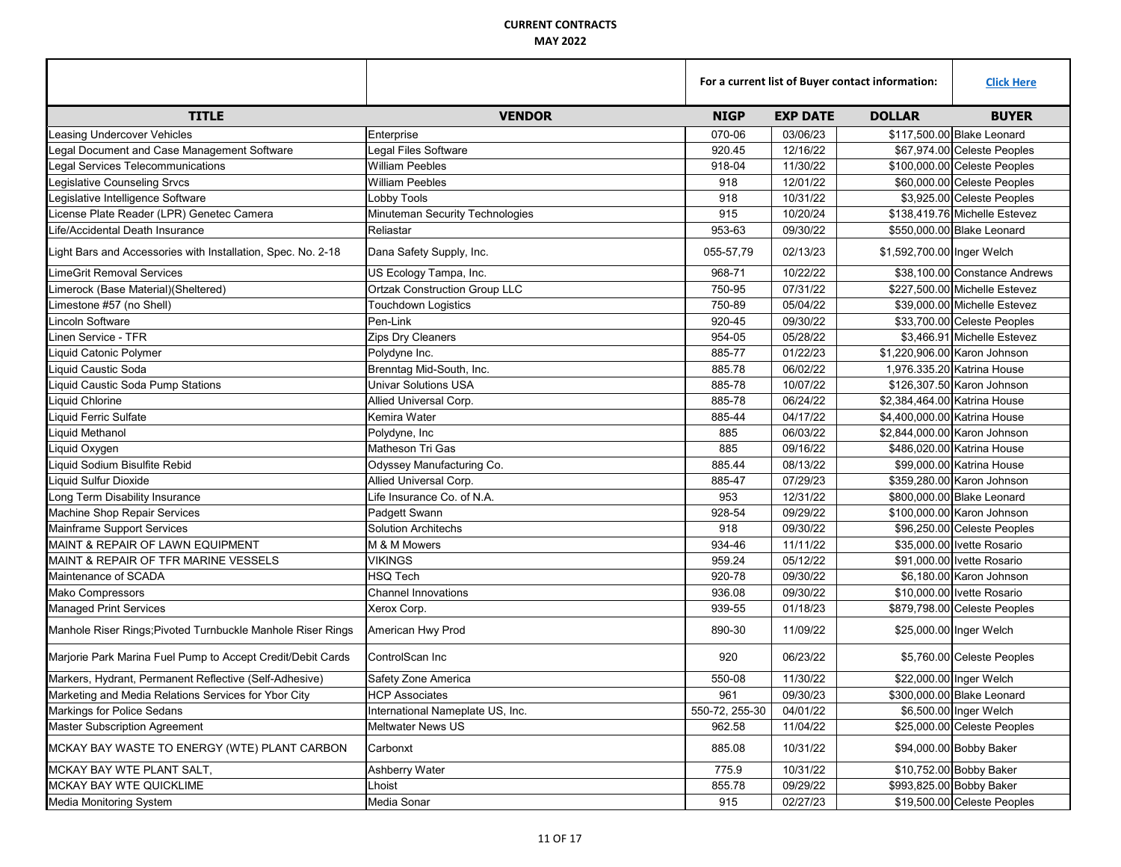|                                                              |                                      | For a current list of Buyer contact information: |                 |                            | <b>Click Here</b>             |
|--------------------------------------------------------------|--------------------------------------|--------------------------------------------------|-----------------|----------------------------|-------------------------------|
| <b>TITLE</b>                                                 | <b>VENDOR</b>                        | <b>NIGP</b>                                      | <b>EXP DATE</b> | <b>DOLLAR</b>              | <b>BUYER</b>                  |
| <b>Leasing Undercover Vehicles</b>                           | Enterprise                           | 070-06                                           | 03/06/23        |                            | \$117,500,00 Blake Leonard    |
| Legal Document and Case Management Software                  | Legal Files Software                 | 920.45                                           | 12/16/22        |                            | \$67,974.00 Celeste Peoples   |
| Legal Services Telecommunications                            | <b>William Peebles</b>               | 918-04                                           | 11/30/22        |                            | \$100,000.00 Celeste Peoples  |
| Legislative Counseling Srvcs                                 | <b>William Peebles</b>               | 918                                              | 12/01/22        |                            | \$60,000.00 Celeste Peoples   |
| Legislative Intelligence Software                            | Lobby Tools                          | 918                                              | 10/31/22        |                            | \$3,925.00 Celeste Peoples    |
| License Plate Reader (LPR) Genetec Camera                    | Minuteman Security Technologies      | 915                                              | 10/20/24        |                            | \$138,419.76 Michelle Estevez |
| Life/Accidental Death Insurance                              | Reliastar                            | 953-63                                           | 09/30/22        |                            | \$550,000.00 Blake Leonard    |
| Light Bars and Accessories with Installation, Spec. No. 2-18 | Dana Safety Supply, Inc.             | 055-57,79                                        | 02/13/23        | \$1,592,700.00 Inger Welch |                               |
| LimeGrit Removal Services                                    | US Ecology Tampa, Inc.               | 968-71                                           | 10/22/22        |                            | \$38,100.00 Constance Andrews |
| Limerock (Base Material)(Sheltered)                          | <b>Ortzak Construction Group LLC</b> | 750-95                                           | 07/31/22        |                            | \$227,500.00 Michelle Estevez |
| Limestone #57 (no Shell)                                     | <b>Touchdown Logistics</b>           | 750-89                                           | 05/04/22        |                            | \$39,000.00 Michelle Estevez  |
| Lincoln Software                                             | Pen-Link                             | 920-45                                           | 09/30/22        |                            | \$33,700.00 Celeste Peoples   |
| inen Service - TFR                                           | Zips Dry Cleaners                    | 954-05                                           | 05/28/22        |                            | \$3,466.91 Michelle Estevez   |
| Liquid Catonic Polymer                                       | Polydyne Inc.                        | 885-77                                           | 01/22/23        |                            | \$1,220,906.00 Karon Johnson  |
| Liquid Caustic Soda                                          | Brenntag Mid-South, Inc.             | 885.78                                           | 06/02/22        |                            | 1,976.335.20 Katrina House    |
| Liquid Caustic Soda Pump Stations                            | <b>Univar Solutions USA</b>          | 885-78                                           | 10/07/22        |                            | \$126,307.50 Karon Johnson    |
| Liquid Chlorine                                              | Allied Universal Corp.               | 885-78                                           | 06/24/22        |                            | \$2,384,464.00 Katrina House  |
| Liquid Ferric Sulfate                                        | Kemira Water                         | 885-44                                           | 04/17/22        |                            | \$4,400,000.00 Katrina House  |
| Liquid Methanol                                              | Polydyne, Inc                        | 885                                              | 06/03/22        |                            | \$2,844,000.00 Karon Johnson  |
| Liquid Oxygen                                                | Matheson Tri Gas                     | 885                                              | 09/16/22        |                            | \$486,020.00 Katrina House    |
| Liquid Sodium Bisulfite Rebid                                | Odyssey Manufacturing Co.            | 885.44                                           | 08/13/22        |                            | \$99,000.00 Katrina House     |
| Liquid Sulfur Dioxide                                        | Allied Universal Corp.               | 885-47                                           | 07/29/23        |                            | \$359,280.00 Karon Johnson    |
| Long Term Disability Insurance                               | Life Insurance Co. of N.A.           | 953                                              | 12/31/22        |                            | \$800,000.00 Blake Leonard    |
| Machine Shop Repair Services                                 | Padgett Swann                        | 928-54                                           | 09/29/22        |                            | \$100,000.00 Karon Johnson    |
| Mainframe Support Services                                   | <b>Solution Architechs</b>           | 918                                              | 09/30/22        |                            | \$96,250.00 Celeste Peoples   |
| MAINT & REPAIR OF LAWN EQUIPMENT                             | M & M Mowers                         | 934-46                                           | 11/11/22        |                            | \$35,000.00 Ivette Rosario    |
| MAINT & REPAIR OF TFR MARINE VESSELS                         | <b>VIKINGS</b>                       | 959.24                                           | 05/12/22        |                            | \$91,000.00 Ivette Rosario    |
| Maintenance of SCADA                                         | <b>HSQ Tech</b>                      | 920-78                                           | 09/30/22        |                            | \$6,180.00 Karon Johnson      |
| <b>Mako Compressors</b>                                      | <b>Channel Innovations</b>           | 936.08                                           | 09/30/22        |                            | \$10,000.00 Ivette Rosario    |
| <b>Managed Print Services</b>                                | Xerox Corp.                          | 939-55                                           | 01/18/23        |                            | \$879,798.00 Celeste Peoples  |
| Manhole Riser Rings; Pivoted Turnbuckle Manhole Riser Rings  | American Hwy Prod                    | 890-30                                           | 11/09/22        |                            | \$25,000.00 Inger Welch       |
| Marjorie Park Marina Fuel Pump to Accept Credit/Debit Cards  | ControlScan Inc                      | 920                                              | 06/23/22        |                            | \$5,760.00 Celeste Peoples    |
| Markers, Hydrant, Permanent Reflective (Self-Adhesive)       | Safety Zone America                  | 550-08                                           | 11/30/22        |                            | \$22,000.00 Inger Welch       |
| Marketing and Media Relations Services for Ybor City         | <b>HCP Associates</b>                | 961                                              | 09/30/23        |                            | \$300,000.00 Blake Leonard    |
| Markings for Police Sedans                                   | International Nameplate US, Inc.     | 550-72, 255-30                                   | 04/01/22        |                            | \$6,500.00 Inger Welch        |
| <b>Master Subscription Agreement</b>                         | <b>Meltwater News US</b>             | 962.58                                           | 11/04/22        |                            | \$25,000.00 Celeste Peoples   |
| MCKAY BAY WASTE TO ENERGY (WTE) PLANT CARBON                 | Carbonxt                             | 885.08                                           | 10/31/22        |                            | \$94,000.00 Bobby Baker       |
| MCKAY BAY WTE PLANT SALT,                                    | Ashberry Water                       | 775.9                                            | 10/31/22        |                            | \$10,752.00 Bobby Baker       |
| MCKAY BAY WTE QUICKLIME                                      | Lhoist                               | 855.78                                           | 09/29/22        |                            | \$993,825.00 Bobby Baker      |
| <b>Media Monitoring System</b>                               | Media Sonar                          | 915                                              | 02/27/23        |                            | \$19,500.00 Celeste Peoples   |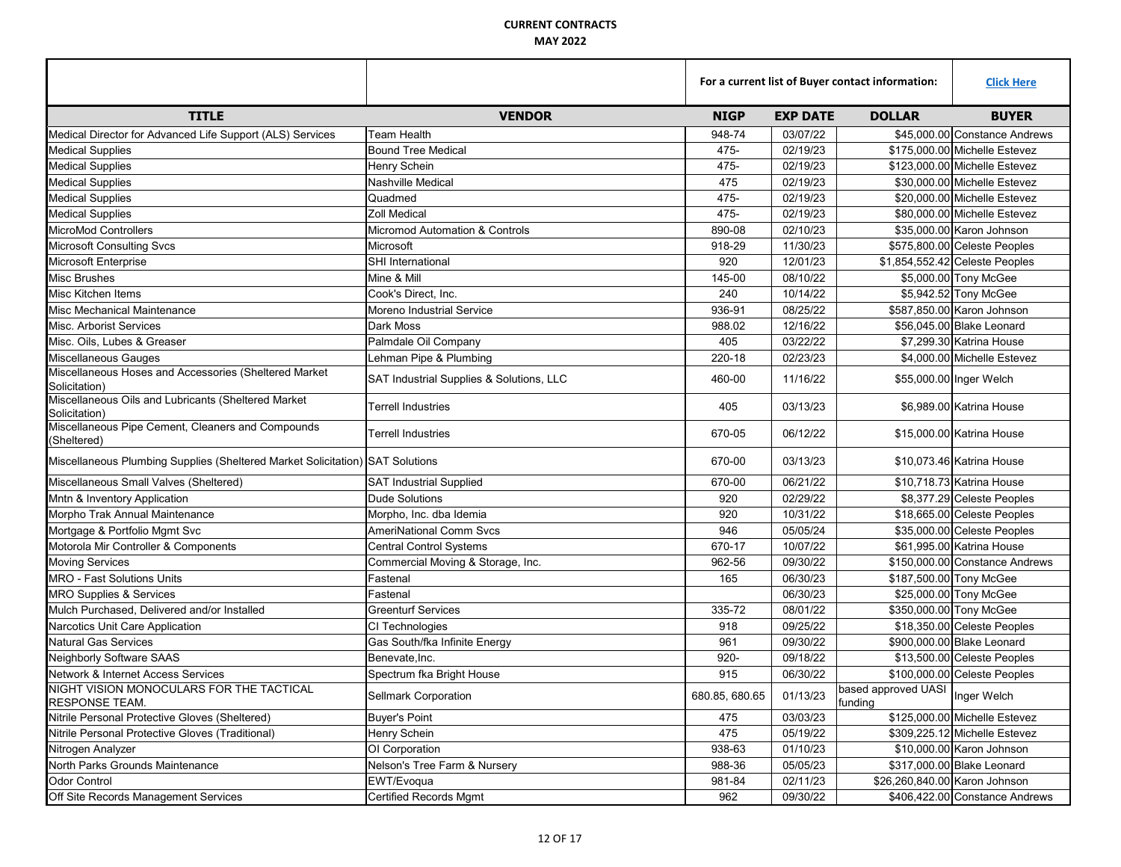|                                                                               |                                           | For a current list of Buyer contact information: |                 |                                             | <b>Click Here</b>              |
|-------------------------------------------------------------------------------|-------------------------------------------|--------------------------------------------------|-----------------|---------------------------------------------|--------------------------------|
| <b>TITLE</b>                                                                  | <b>VENDOR</b>                             | <b>NIGP</b>                                      | <b>EXP DATE</b> | <b>DOLLAR</b>                               | <b>BUYER</b>                   |
| Medical Director for Advanced Life Support (ALS) Services                     | Team Health                               | 948-74                                           | 03/07/22        |                                             | \$45,000.00 Constance Andrews  |
| <b>Medical Supplies</b>                                                       | <b>Bound Tree Medical</b>                 | 475-                                             | 02/19/23        |                                             | \$175,000.00 Michelle Estevez  |
| <b>Medical Supplies</b>                                                       | Henry Schein                              | 475-                                             | 02/19/23        |                                             | \$123,000.00 Michelle Estevez  |
| <b>Medical Supplies</b>                                                       | Nashville Medical                         | 475                                              | 02/19/23        |                                             | \$30,000.00 Michelle Estevez   |
| <b>Medical Supplies</b>                                                       | Quadmed                                   | 475-                                             | 02/19/23        |                                             | \$20,000.00 Michelle Estevez   |
| <b>Medical Supplies</b>                                                       | <b>Zoll Medical</b>                       | 475-                                             | 02/19/23        |                                             | \$80,000.00 Michelle Estevez   |
| MicroMod Controllers                                                          | <b>Micromod Automation &amp; Controls</b> | 890-08                                           | 02/10/23        |                                             | \$35,000.00 Karon Johnson      |
| <b>Microsoft Consulting Svcs</b>                                              | Microsoft                                 | 918-29                                           | 11/30/23        |                                             | \$575,800.00 Celeste Peoples   |
| Microsoft Enterprise                                                          | SHI International                         | 920                                              | 12/01/23        |                                             | \$1,854,552.42 Celeste Peoples |
| <b>Misc Brushes</b>                                                           | Mine & Mill                               | 145-00                                           | 08/10/22        |                                             | \$5,000.00 Tony McGee          |
| Misc Kitchen Items                                                            | Cook's Direct, Inc.                       | 240                                              | 10/14/22        |                                             | \$5,942.52 Tony McGee          |
| Misc Mechanical Maintenance                                                   | Moreno Industrial Service                 | 936-91                                           | 08/25/22        |                                             | \$587,850.00 Karon Johnson     |
| Misc. Arborist Services                                                       | Dark Moss                                 | 988.02                                           | 12/16/22        |                                             | \$56,045.00 Blake Leonard      |
| Misc. Oils, Lubes & Greaser                                                   | Palmdale Oil Company                      | 405                                              | 03/22/22        |                                             | \$7,299.30 Katrina House       |
| Miscellaneous Gauges                                                          | Lehman Pipe & Plumbing                    | 220-18                                           | 02/23/23        |                                             | \$4,000.00 Michelle Estevez    |
| Miscellaneous Hoses and Accessories (Sheltered Market<br>Solicitation)        | SAT Industrial Supplies & Solutions, LLC  | 460-00                                           | 11/16/22        |                                             | \$55,000.00 Inger Welch        |
| Miscellaneous Oils and Lubricants (Sheltered Market<br>Solicitation)          | Terrell Industries                        | 405                                              | 03/13/23        |                                             | \$6,989.00 Katrina House       |
| Miscellaneous Pipe Cement, Cleaners and Compounds<br>(Sheltered)              | Terrell Industries                        | 670-05                                           | 06/12/22        |                                             | \$15,000.00 Katrina House      |
| Miscellaneous Plumbing Supplies (Sheltered Market Solicitation) SAT Solutions |                                           | 670-00                                           | 03/13/23        |                                             | \$10,073.46 Katrina House      |
| Miscellaneous Small Valves (Sheltered)                                        | <b>SAT Industrial Supplied</b>            | 670-00                                           | 06/21/22        |                                             | \$10,718.73 Katrina House      |
| Mntn & Inventory Application                                                  | <b>Dude Solutions</b>                     | 920                                              | 02/29/22        |                                             | \$8,377.29 Celeste Peoples     |
| Morpho Trak Annual Maintenance                                                | Morpho, Inc. dba Idemia                   | 920                                              | 10/31/22        |                                             | \$18,665.00 Celeste Peoples    |
| Mortgage & Portfolio Mgmt Svc                                                 | <b>AmeriNational Comm Svcs</b>            | 946                                              | 05/05/24        |                                             | \$35,000.00 Celeste Peoples    |
| Motorola Mir Controller & Components                                          | <b>Central Control Systems</b>            | 670-17                                           | 10/07/22        |                                             | \$61,995.00 Katrina House      |
| <b>Moving Services</b>                                                        | Commercial Moving & Storage, Inc.         | 962-56                                           | 09/30/22        |                                             | \$150,000.00 Constance Andrews |
| MRO - Fast Solutions Units                                                    | Fastenal                                  | 165                                              | 06/30/23        |                                             | \$187,500.00 Tony McGee        |
| <b>MRO Supplies &amp; Services</b>                                            | Fastenal                                  |                                                  | 06/30/23        |                                             | \$25,000.00 Tony McGee         |
| Mulch Purchased, Delivered and/or Installed                                   | <b>Greenturf Services</b>                 | 335-72                                           | 08/01/22        |                                             | \$350,000.00 Tony McGee        |
| Narcotics Unit Care Application                                               | CI Technologies                           | 918                                              | 09/25/22        |                                             | \$18,350.00 Celeste Peoples    |
| <b>Natural Gas Services</b>                                                   | Gas South/fka Infinite Energy             | 961                                              | 09/30/22        |                                             | \$900,000.00 Blake Leonard     |
| <b>Neighborly Software SAAS</b>                                               | Benevate.Inc.                             | 920-                                             | 09/18/22        |                                             | \$13,500.00 Celeste Peoples    |
| Network & Internet Access Services                                            | Spectrum fka Bright House                 | 915                                              | 06/30/22        |                                             | \$100,000.00 Celeste Peoples   |
| NIGHT VISION MONOCULARS FOR THE TACTICAL<br><b>RESPONSE TEAM.</b>             | Sellmark Corporation                      | 680.85, 680.65                                   | 01/13/23        | based approved UASI  Inger Welch<br>funding |                                |
| Nitrile Personal Protective Gloves (Sheltered)                                | <b>Buyer's Point</b>                      | 475                                              | 03/03/23        |                                             | \$125,000.00 Michelle Estevez  |
| Nitrile Personal Protective Gloves (Traditional)                              | Henry Schein                              | 475                                              | 05/19/22        |                                             | \$309,225.12 Michelle Estevez  |
| Nitrogen Analyzer                                                             | OI Corporation                            | 938-63                                           | 01/10/23        |                                             | \$10,000.00 Karon Johnson      |
| North Parks Grounds Maintenance                                               | Nelson's Tree Farm & Nursery              | 988-36                                           | 05/05/23        |                                             | \$317,000.00 Blake Leonard     |
| <b>Odor Control</b>                                                           | EWT/Evoqua                                | 981-84                                           | 02/11/23        | \$26,260,840.00 Karon Johnson               |                                |
| Off Site Records Management Services                                          | <b>Certified Records Mgmt</b>             | 962                                              | 09/30/22        |                                             | \$406,422.00 Constance Andrews |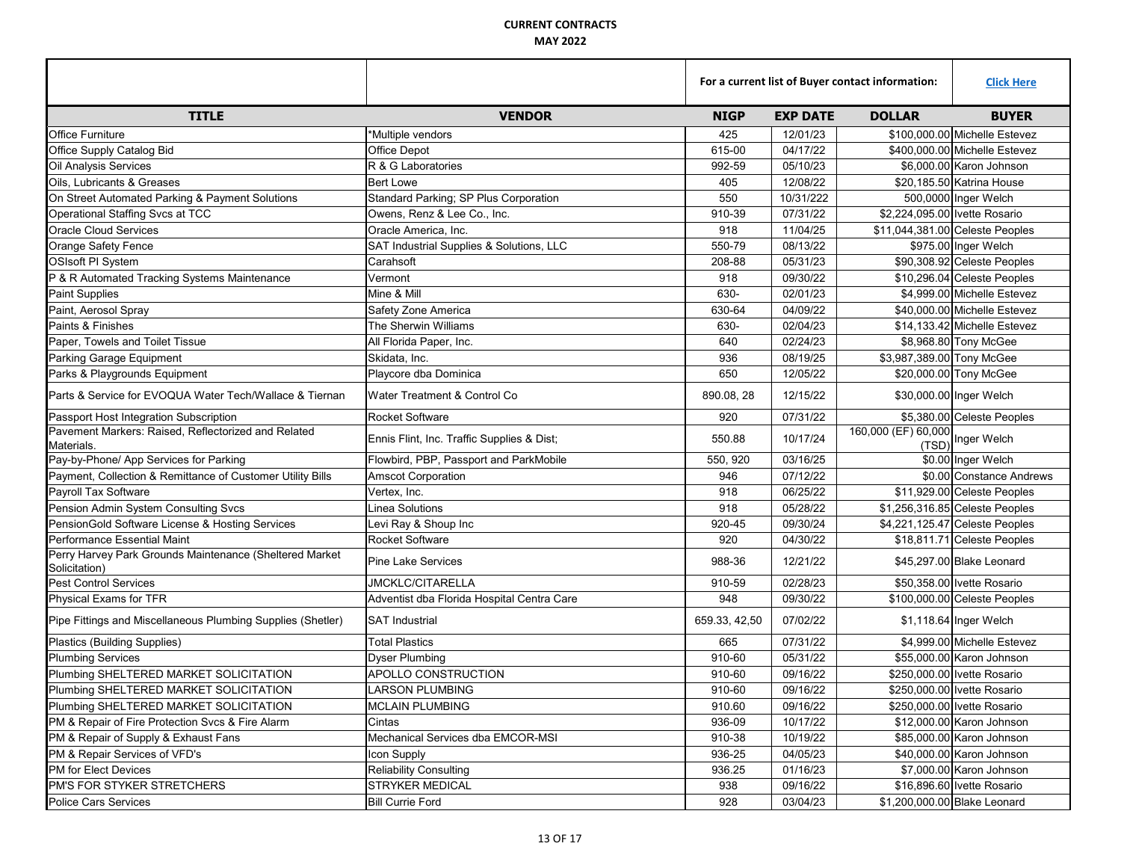|                                                                          |                                            |               | For a current list of Buyer contact information: |                                          |                                 |
|--------------------------------------------------------------------------|--------------------------------------------|---------------|--------------------------------------------------|------------------------------------------|---------------------------------|
| <b>TITLE</b>                                                             | <b>VENDOR</b>                              | <b>NIGP</b>   | <b>EXP DATE</b>                                  | <b>DOLLAR</b>                            | <b>BUYER</b>                    |
| <b>Office Furniture</b>                                                  | *Multiple vendors                          | 425           | 12/01/23                                         |                                          | \$100,000.00 Michelle Estevez   |
| Office Supply Catalog Bid                                                | Office Depot                               | 615-00        | 04/17/22                                         |                                          | \$400,000.00 Michelle Estevez   |
| Oil Analysis Services                                                    | R & G Laboratories                         | 992-59        | 05/10/23                                         |                                          | \$6,000.00 Karon Johnson        |
| Oils, Lubricants & Greases                                               | <b>Bert Lowe</b>                           | 405           | 12/08/22                                         |                                          | \$20,185.50 Katrina House       |
| On Street Automated Parking & Payment Solutions                          | Standard Parking; SP Plus Corporation      | 550           | 10/31/222                                        |                                          | 500,0000 Inger Welch            |
| Operational Staffing Svcs at TCC                                         | Owens, Renz & Lee Co., Inc.                | 910-39        | 07/31/22                                         | \$2,224,095.00 Ivette Rosario            |                                 |
| <b>Oracle Cloud Services</b>                                             | Oracle America, Inc.                       | 918           | 11/04/25                                         |                                          | \$11,044,381.00 Celeste Peoples |
| Orange Safety Fence                                                      | SAT Industrial Supplies & Solutions, LLC   | 550-79        | 08/13/22                                         |                                          | \$975.00 Inger Welch            |
| <b>OSIsoft PI System</b>                                                 | Carahsoft                                  | 208-88        | 05/31/23                                         |                                          | \$90,308.92 Celeste Peoples     |
| P & R Automated Tracking Systems Maintenance                             | Vermont                                    | 918           | 09/30/22                                         |                                          | \$10,296.04 Celeste Peoples     |
| Paint Supplies                                                           | Mine & Mill                                | 630-          | 02/01/23                                         |                                          | \$4,999.00 Michelle Estevez     |
| Paint, Aerosol Spray                                                     | Safety Zone America                        | 630-64        | 04/09/22                                         |                                          | \$40,000.00 Michelle Estevez    |
| Paints & Finishes                                                        | The Sherwin Williams                       | 630-          | 02/04/23                                         |                                          | \$14,133.42 Michelle Estevez    |
| Paper, Towels and Toilet Tissue                                          | All Florida Paper, Inc.                    | 640           | 02/24/23                                         |                                          | \$8,968.80 Tony McGee           |
| Parking Garage Equipment                                                 | Skidata, Inc.                              | 936           | 08/19/25                                         | \$3,987,389.00 Tony McGee                |                                 |
| Parks & Playgrounds Equipment                                            | Playcore dba Dominica                      | 650           | 12/05/22                                         |                                          | \$20,000.00 Tony McGee          |
| Parts & Service for EVOQUA Water Tech/Wallace & Tiernan                  | Water Treatment & Control Co               | 890.08, 28    | 12/15/22                                         |                                          | \$30,000.00 Inger Welch         |
| Passport Host Integration Subscription                                   | Rocket Software                            | 920           | 07/31/22                                         |                                          | \$5,380.00 Celeste Peoples      |
| Pavement Markers: Raised, Reflectorized and Related<br>Materials.        | Ennis Flint, Inc. Traffic Supplies & Dist; | 550.88        | 10/17/24                                         | 160,000 (EF) 60,000 Inger Welch<br>(TSD) |                                 |
| Pay-by-Phone/ App Services for Parking                                   | Flowbird, PBP, Passport and ParkMobile     | 550, 920      | 03/16/25                                         |                                          | \$0.00 Inger Welch              |
| Payment, Collection & Remittance of Customer Utility Bills               | <b>Amscot Corporation</b>                  | 946           | 07/12/22                                         |                                          | \$0.00 Constance Andrews        |
| Payroll Tax Software                                                     | Vertex, Inc.                               | 918           | 06/25/22                                         |                                          | \$11,929.00 Celeste Peoples     |
| Pension Admin System Consulting Svcs                                     | <b>Linea Solutions</b>                     | 918           | 05/28/22                                         |                                          | \$1,256,316.85 Celeste Peoples  |
| PensionGold Software License & Hosting Services                          | Levi Ray & Shoup Inc                       | 920-45        | 09/30/24                                         |                                          | \$4,221,125.47 Celeste Peoples  |
| Performance Essential Maint                                              | Rocket Software                            | 920           | 04/30/22                                         |                                          | \$18,811.71 Celeste Peoples     |
| Perry Harvey Park Grounds Maintenance (Sheltered Market<br>Solicitation) | <b>Pine Lake Services</b>                  | 988-36        | 12/21/22                                         |                                          | \$45,297.00 Blake Leonard       |
| <b>Pest Control Services</b>                                             | <b>JMCKLC/CITARELLA</b>                    | 910-59        | 02/28/23                                         |                                          | \$50,358.00 Ivette Rosario      |
| Physical Exams for TFR                                                   | Adventist dba Florida Hospital Centra Care | 948           | 09/30/22                                         |                                          | \$100,000.00 Celeste Peoples    |
| Pipe Fittings and Miscellaneous Plumbing Supplies (Shetler)              | <b>SAT Industrial</b>                      | 659.33, 42,50 | 07/02/22                                         |                                          | \$1,118.64 Inger Welch          |
| Plastics (Building Supplies)                                             | <b>Total Plastics</b>                      | 665           | 07/31/22                                         |                                          | \$4.999.00 Michelle Estevez     |
| <b>Plumbing Services</b>                                                 | <b>Dyser Plumbing</b>                      | 910-60        | 05/31/22                                         |                                          | \$55,000.00 Karon Johnson       |
| Plumbing SHELTERED MARKET SOLICITATION                                   | APOLLO CONSTRUCTION                        | 910-60        | 09/16/22                                         |                                          | \$250,000.00 Ivette Rosario     |
| Plumbing SHELTERED MARKET SOLICITATION                                   | LARSON PLUMBING                            | 910-60        | 09/16/22                                         |                                          | \$250,000.00 Ivette Rosario     |
| Plumbing SHELTERED MARKET SOLICITATION                                   | <b>MCLAIN PLUMBING</b>                     | 910.60        | 09/16/22                                         |                                          | \$250,000.00 Ivette Rosario     |
| PM & Repair of Fire Protection Svcs & Fire Alarm                         | Cintas                                     | 936-09        | 10/17/22                                         |                                          | \$12,000.00 Karon Johnson       |
| PM & Repair of Supply & Exhaust Fans                                     | Mechanical Services dba EMCOR-MSI          | 910-38        | 10/19/22                                         |                                          | \$85,000,00 Karon Johnson       |
| PM & Repair Services of VFD's                                            | Icon Supply                                | 936-25        | 04/05/23                                         |                                          | \$40,000.00 Karon Johnson       |
| PM for Elect Devices                                                     | <b>Reliability Consulting</b>              | 936.25        | 01/16/23                                         |                                          | \$7,000.00 Karon Johnson        |
| PM'S FOR STYKER STRETCHERS                                               | STRYKER MEDICAL                            | 938           | 09/16/22                                         |                                          | \$16,896.60 Ivette Rosario      |
| <b>Police Cars Services</b>                                              | <b>Bill Currie Ford</b>                    | 928           | 03/04/23                                         |                                          | \$1,200,000.00 Blake Leonard    |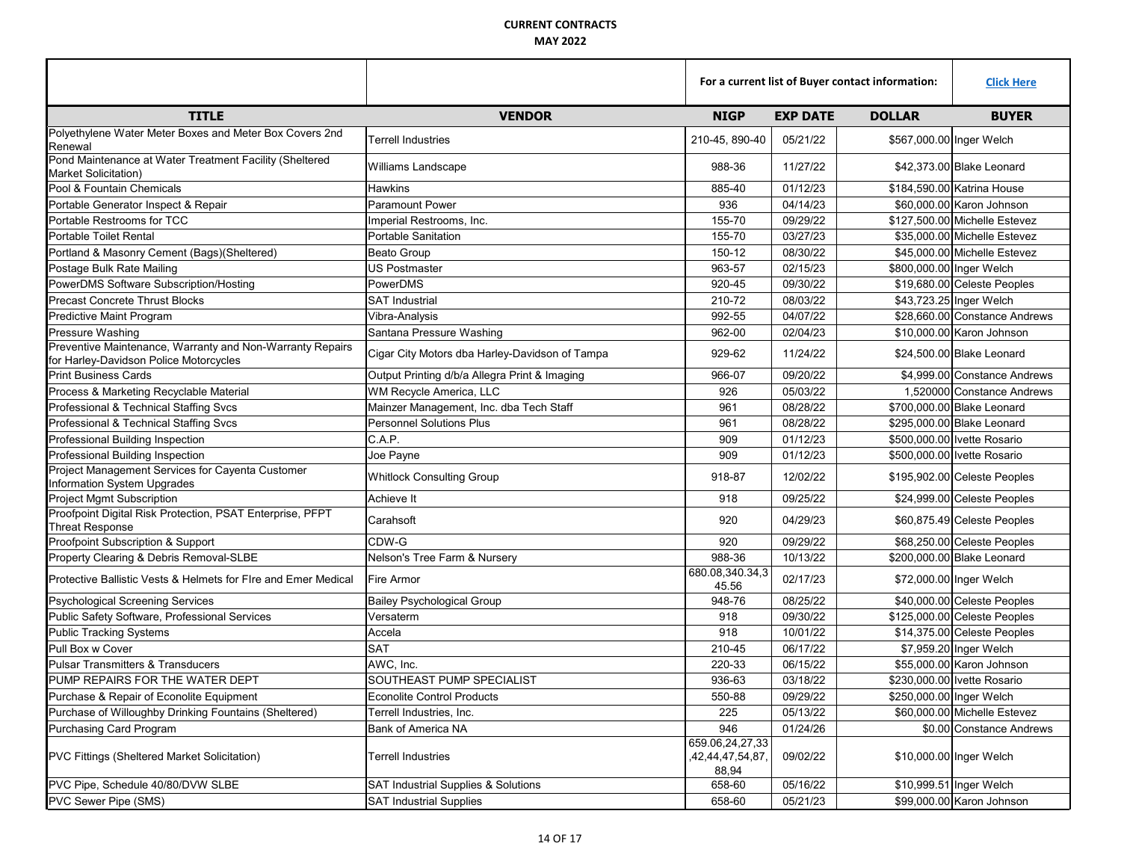|                                                                                                     |                                                |                                              | For a current list of Buyer contact information: |                          |                               |
|-----------------------------------------------------------------------------------------------------|------------------------------------------------|----------------------------------------------|--------------------------------------------------|--------------------------|-------------------------------|
| <b>TITLE</b>                                                                                        | <b>VENDOR</b>                                  | <b>NIGP</b>                                  | <b>EXP DATE</b>                                  | <b>DOLLAR</b>            | <b>BUYER</b>                  |
| Polyethylene Water Meter Boxes and Meter Box Covers 2nd<br>Renewal                                  | Terrell Industries                             | 210-45, 890-40                               | 05/21/22                                         | \$567,000.00 Inger Welch |                               |
| Pond Maintenance at Water Treatment Facility (Sheltered<br>Market Solicitation)                     | Williams Landscape                             | 988-36                                       | 11/27/22                                         |                          | \$42,373.00 Blake Leonard     |
| Pool & Fountain Chemicals                                                                           | Hawkins                                        | 885-40                                       | 01/12/23                                         |                          | \$184,590.00 Katrina House    |
| Portable Generator Inspect & Repair                                                                 | <b>Paramount Power</b>                         | 936                                          | 04/14/23                                         |                          | \$60,000.00 Karon Johnson     |
| Portable Restrooms for TCC                                                                          | Imperial Restrooms, Inc.                       | 155-70                                       | 09/29/22                                         |                          | \$127,500,00 Michelle Estevez |
| Portable Toilet Rental                                                                              | <b>Portable Sanitation</b>                     | 155-70                                       | 03/27/23                                         |                          | \$35,000.00 Michelle Estevez  |
| Portland & Masonry Cement (Bags)(Sheltered)                                                         | <b>Beato Group</b>                             | 150-12                                       | 08/30/22                                         |                          | \$45,000.00 Michelle Estevez  |
| Postage Bulk Rate Mailing                                                                           | <b>US Postmaster</b>                           | 963-57                                       | 02/15/23                                         | \$800,000.00 Inger Welch |                               |
| PowerDMS Software Subscription/Hosting                                                              | PowerDMS                                       | 920-45                                       | 09/30/22                                         |                          | \$19,680.00 Celeste Peoples   |
| <b>Precast Concrete Thrust Blocks</b>                                                               | <b>SAT Industrial</b>                          | 210-72                                       | 08/03/22                                         |                          | \$43,723.25 Inger Welch       |
| Predictive Maint Program                                                                            | Vibra-Analysis                                 | 992-55                                       | 04/07/22                                         |                          | \$28,660.00 Constance Andrews |
| Pressure Washing                                                                                    | Santana Pressure Washing                       | 962-00                                       | 02/04/23                                         |                          | \$10,000.00 Karon Johnson     |
| Preventive Maintenance, Warranty and Non-Warranty Repairs<br>for Harley-Davidson Police Motorcycles | Cigar City Motors dba Harley-Davidson of Tampa | 929-62                                       | 11/24/22                                         |                          | \$24,500.00 Blake Leonard     |
| <b>Print Business Cards</b>                                                                         | Output Printing d/b/a Allegra Print & Imaging  | 966-07                                       | 09/20/22                                         |                          | \$4,999.00 Constance Andrews  |
| Process & Marketing Recyclable Material                                                             | WM Recycle America, LLC                        | 926                                          | 05/03/22                                         |                          | 1,520000 Constance Andrews    |
| Professional & Technical Staffing Svcs                                                              | Mainzer Management, Inc. dba Tech Staff        | 961                                          | 08/28/22                                         |                          | \$700,000.00 Blake Leonard    |
| Professional & Technical Staffing Svcs                                                              | <b>Personnel Solutions Plus</b>                | 961                                          | 08/28/22                                         |                          | \$295,000.00 Blake Leonard    |
| Professional Building Inspection                                                                    | C.A.P.                                         | 909                                          | 01/12/23                                         |                          | \$500,000.00 Ivette Rosario   |
| Professional Building Inspection                                                                    | Joe Payne                                      | 909                                          | 01/12/23                                         |                          | \$500,000.00 Ivette Rosario   |
| Project Management Services for Cayenta Customer<br>Information System Upgrades                     | <b>Whitlock Consulting Group</b>               | 918-87                                       | 12/02/22                                         |                          | \$195,902.00 Celeste Peoples  |
| <b>Project Mgmt Subscription</b>                                                                    | Achieve It                                     | 918                                          | 09/25/22                                         |                          | \$24,999.00 Celeste Peoples   |
| Proofpoint Digital Risk Protection, PSAT Enterprise, PFPT<br><b>Threat Response</b>                 | Carahsoft                                      | 920                                          | 04/29/23                                         |                          | \$60,875.49 Celeste Peoples   |
| Proofpoint Subscription & Support                                                                   | CDW-G                                          | 920                                          | 09/29/22                                         |                          | \$68,250.00 Celeste Peoples   |
| Property Clearing & Debris Removal-SLBE                                                             | Nelson's Tree Farm & Nursery                   | 988-36                                       | 10/13/22                                         |                          | \$200,000.00 Blake Leonard    |
| Protective Ballistic Vests & Helmets for Fire and Emer Medical                                      | Fire Armor                                     | 680.08,340.34,3<br>45.56                     | 02/17/23                                         |                          | \$72,000.00 Inger Welch       |
| Psychological Screening Services                                                                    | <b>Bailey Psychological Group</b>              | 948-76                                       | 08/25/22                                         |                          | \$40,000.00 Celeste Peoples   |
| Public Safety Software, Professional Services                                                       | Versaterm                                      | 918                                          | 09/30/22                                         |                          | \$125,000.00 Celeste Peoples  |
| <b>Public Tracking Systems</b>                                                                      | Accela                                         | 918                                          | 10/01/22                                         |                          | \$14,375.00 Celeste Peoples   |
| Pull Box w Cover                                                                                    | <b>SAT</b>                                     | 210-45                                       | 06/17/22                                         |                          | \$7,959.20 Inger Welch        |
| <b>Pulsar Transmitters &amp; Transducers</b>                                                        | AWC, Inc.                                      | 220-33                                       | 06/15/22                                         |                          | \$55,000.00 Karon Johnson     |
| PUMP REPAIRS FOR THE WATER DEPT                                                                     | SOUTHEAST PUMP SPECIALIST                      | 936-63                                       | 03/18/22                                         |                          | \$230,000.00 Ivette Rosario   |
| Purchase & Repair of Econolite Equipment                                                            | <b>Econolite Control Products</b>              | 550-88                                       | 09/29/22                                         | \$250,000.00 Inger Welch |                               |
| Purchase of Willoughby Drinking Fountains (Sheltered)                                               | Terrell Industries, Inc.                       | 225                                          | 05/13/22                                         |                          | \$60,000.00 Michelle Estevez  |
| Purchasing Card Program                                                                             | Bank of America NA                             | 946                                          | 01/24/26                                         |                          | \$0.00 Constance Andrews      |
| PVC Fittings (Sheltered Market Solicitation)                                                        | Terrell Industries                             | 659.06,24,27,33<br>,42,44,47,54,87,<br>88,94 | 09/02/22                                         |                          | \$10,000.00 Inger Welch       |
| PVC Pipe, Schedule 40/80/DVW SLBE                                                                   | SAT Industrial Supplies & Solutions            | 658-60                                       | 05/16/22                                         |                          | \$10,999.51 Inger Welch       |
| PVC Sewer Pipe (SMS)                                                                                | <b>SAT Industrial Supplies</b>                 | 658-60                                       | 05/21/23                                         |                          | \$99,000.00 Karon Johnson     |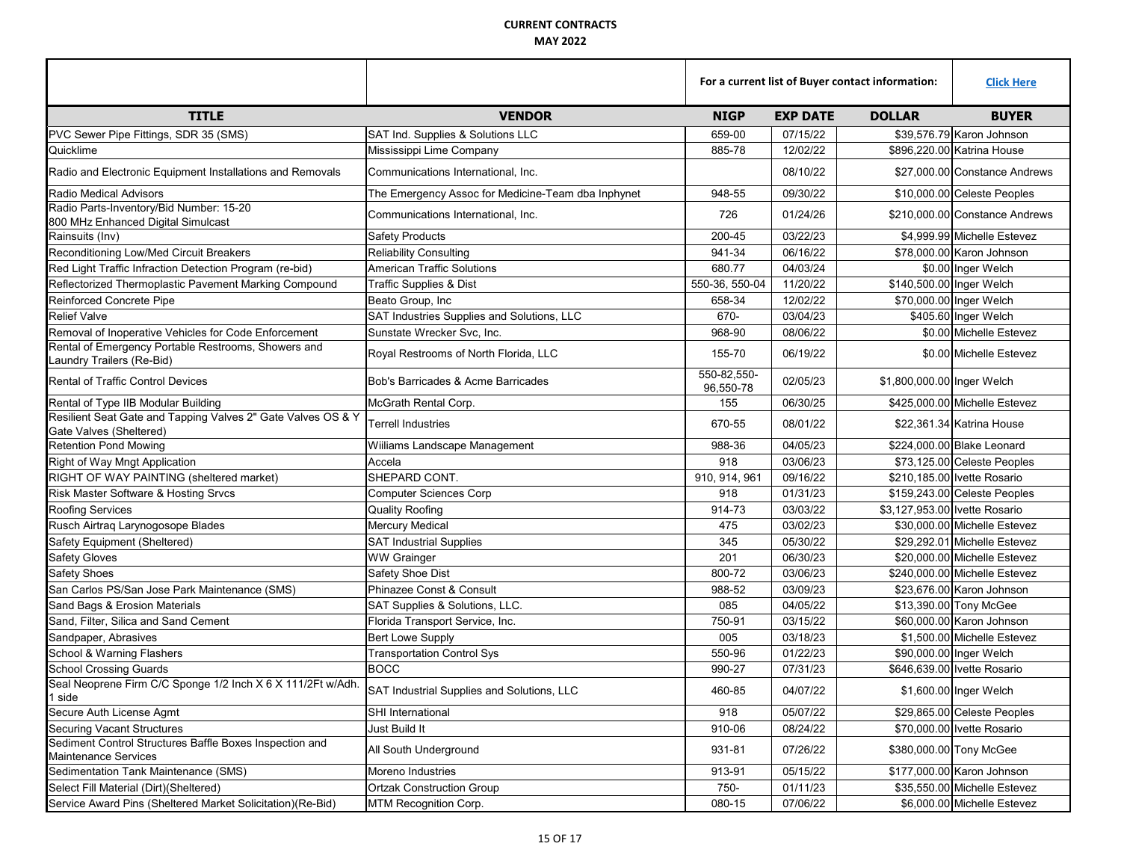|                                                                                         |                                                    | For a current list of Buyer contact information: |                 |                                | <b>Click Here</b>             |  |
|-----------------------------------------------------------------------------------------|----------------------------------------------------|--------------------------------------------------|-----------------|--------------------------------|-------------------------------|--|
| <b>TITLE</b>                                                                            | <b>VENDOR</b>                                      | <b>NIGP</b>                                      | <b>EXP DATE</b> | <b>DOLLAR</b>                  | <b>BUYER</b>                  |  |
| PVC Sewer Pipe Fittings, SDR 35 (SMS)                                                   | SAT Ind. Supplies & Solutions LLC                  | 659-00                                           | 07/15/22        | \$39,576.79 Karon Johnson      |                               |  |
| Quicklime                                                                               | Mississippi Lime Company                           | 885-78                                           | 12/02/22        | \$896,220.00 Katrina House     |                               |  |
| Radio and Electronic Equipment Installations and Removals                               | Communications International, Inc.                 |                                                  | 08/10/22        |                                | \$27,000.00 Constance Andrews |  |
| <b>Radio Medical Advisors</b>                                                           | The Emergency Assoc for Medicine-Team dba Inphynet | 948-55                                           | 09/30/22        | \$10,000.00 Celeste Peoples    |                               |  |
| Radio Parts-Inventory/Bid Number: 15-20<br>800 MHz Enhanced Digital Simulcast           | Communications International, Inc.                 | 726                                              | 01/24/26        | \$210,000.00 Constance Andrews |                               |  |
| Rainsuits (Inv)                                                                         | <b>Safety Products</b>                             | 200-45                                           | 03/22/23        |                                | \$4,999.99 Michelle Estevez   |  |
| Reconditioning Low/Med Circuit Breakers                                                 | <b>Reliability Consulting</b>                      | 941-34                                           | 06/16/22        |                                | \$78,000.00 Karon Johnson     |  |
| Red Light Traffic Infraction Detection Program (re-bid)                                 | American Traffic Solutions                         | 680.77                                           | 04/03/24        |                                | \$0.00 Inger Welch            |  |
| Reflectorized Thermoplastic Pavement Marking Compound                                   | Traffic Supplies & Dist                            | 550-36, 550-04                                   | 11/20/22        | \$140,500.00 Inger Welch       |                               |  |
| Reinforced Concrete Pipe                                                                | Beato Group, Inc                                   | 658-34                                           | 12/02/22        | \$70,000.00 Inger Welch        |                               |  |
| <b>Relief Valve</b>                                                                     | SAT Industries Supplies and Solutions, LLC         | 670-                                             | 03/04/23        |                                | \$405.60 Inger Welch          |  |
| Removal of Inoperative Vehicles for Code Enforcement                                    | Sunstate Wrecker Svc, Inc.                         | 968-90                                           | 08/06/22        |                                | \$0.00 Michelle Estevez       |  |
| Rental of Emergency Portable Restrooms, Showers and<br>Laundry Trailers (Re-Bid)        | Royal Restrooms of North Florida, LLC              | 155-70                                           | 06/19/22        |                                | \$0.00 Michelle Estevez       |  |
| Rental of Traffic Control Devices                                                       | Bob's Barricades & Acme Barricades                 | 550-82,550-<br>96,550-78                         | 02/05/23        | \$1,800,000.00 Inger Welch     |                               |  |
| Rental of Type IIB Modular Building                                                     | McGrath Rental Corp.                               | 155                                              | 06/30/25        |                                | \$425,000.00 Michelle Estevez |  |
| Resilient Seat Gate and Tapping Valves 2" Gate Valves OS & Y<br>Gate Valves (Sheltered) | <b>Terrell Industries</b>                          | 670-55                                           | 08/01/22        |                                | \$22.361.34 Katrina House     |  |
| <b>Retention Pond Mowing</b>                                                            | Wiiliams Landscape Management                      | 988-36                                           | 04/05/23        |                                | \$224,000.00 Blake Leonard    |  |
| Right of Way Mngt Application                                                           | Accela                                             | 918                                              | 03/06/23        |                                | \$73,125.00 Celeste Peoples   |  |
| RIGHT OF WAY PAINTING (sheltered market)                                                | SHEPARD CONT.                                      | 910, 914, 961                                    | 09/16/22        | \$210,185.00 Ivette Rosario    |                               |  |
| Risk Master Software & Hosting Srvcs                                                    | <b>Computer Sciences Corp</b>                      | 918                                              | 01/31/23        |                                | \$159,243.00 Celeste Peoples  |  |
| <b>Roofing Services</b>                                                                 | <b>Quality Roofing</b>                             | 914-73                                           | 03/03/22        | \$3,127,953.00 Ivette Rosario  |                               |  |
| Rusch Airtraq Larynogosope Blades                                                       | <b>Mercury Medical</b>                             | 475                                              | 03/02/23        |                                | \$30,000.00 Michelle Estevez  |  |
| Safety Equipment (Sheltered)                                                            | <b>SAT Industrial Supplies</b>                     | 345                                              | 05/30/22        |                                | \$29,292.01 Michelle Estevez  |  |
| <b>Safety Gloves</b>                                                                    | <b>WW Grainger</b>                                 | 201                                              | 06/30/23        |                                | \$20,000.00 Michelle Estevez  |  |
| <b>Safety Shoes</b>                                                                     | Safety Shoe Dist                                   | 800-72                                           | 03/06/23        |                                | \$240,000.00 Michelle Estevez |  |
| San Carlos PS/San Jose Park Maintenance (SMS)                                           | Phinazee Const & Consult                           | 988-52                                           | 03/09/23        |                                | \$23,676.00 Karon Johnson     |  |
| Sand Bags & Erosion Materials                                                           | SAT Supplies & Solutions, LLC.                     | 085                                              | 04/05/22        |                                | \$13,390.00 Tony McGee        |  |
| Sand, Filter, Silica and Sand Cement                                                    | Florida Transport Service, Inc.                    | 750-91                                           | 03/15/22        |                                | \$60,000.00 Karon Johnson     |  |
| Sandpaper, Abrasives                                                                    | Bert Lowe Supply                                   | 005                                              | 03/18/23        |                                | \$1,500.00 Michelle Estevez   |  |
| School & Warning Flashers                                                               | <b>Transportation Control Sys</b>                  | 550-96                                           | 01/22/23        | \$90,000.00 Inger Welch        |                               |  |
| <b>School Crossing Guards</b>                                                           | BOCC                                               | 990-27                                           | 07/31/23        |                                | \$646,639.00 Ivette Rosario   |  |
| Seal Neoprene Firm C/C Sponge 1/2 Inch X 6 X 111/2Ft w/Adh.<br>1 side                   | SAT Industrial Supplies and Solutions, LLC         | 460-85                                           | 04/07/22        |                                | \$1,600.00 Inger Welch        |  |
| Secure Auth License Agmt                                                                | SHI International                                  | 918                                              | 05/07/22        |                                | \$29,865.00 Celeste Peoples   |  |
| <b>Securing Vacant Structures</b>                                                       | Just Build It                                      | 910-06                                           | 08/24/22        | \$70,000.00 Ivette Rosario     |                               |  |
| Sediment Control Structures Baffle Boxes Inspection and<br><b>Maintenance Services</b>  | All South Underground                              | 931-81                                           | 07/26/22        | \$380,000.00 Tony McGee        |                               |  |
| Sedimentation Tank Maintenance (SMS)                                                    | Moreno Industries                                  | 913-91                                           | 05/15/22        | \$177,000.00 Karon Johnson     |                               |  |
| Select Fill Material (Dirt)(Sheltered)                                                  | <b>Ortzak Construction Group</b>                   | 750-                                             | 01/11/23        | \$35,550.00 Michelle Estevez   |                               |  |
| Service Award Pins (Sheltered Market Solicitation)(Re-Bid)                              | MTM Recognition Corp.                              | 080-15                                           | 07/06/22        | \$6,000.00 Michelle Estevez    |                               |  |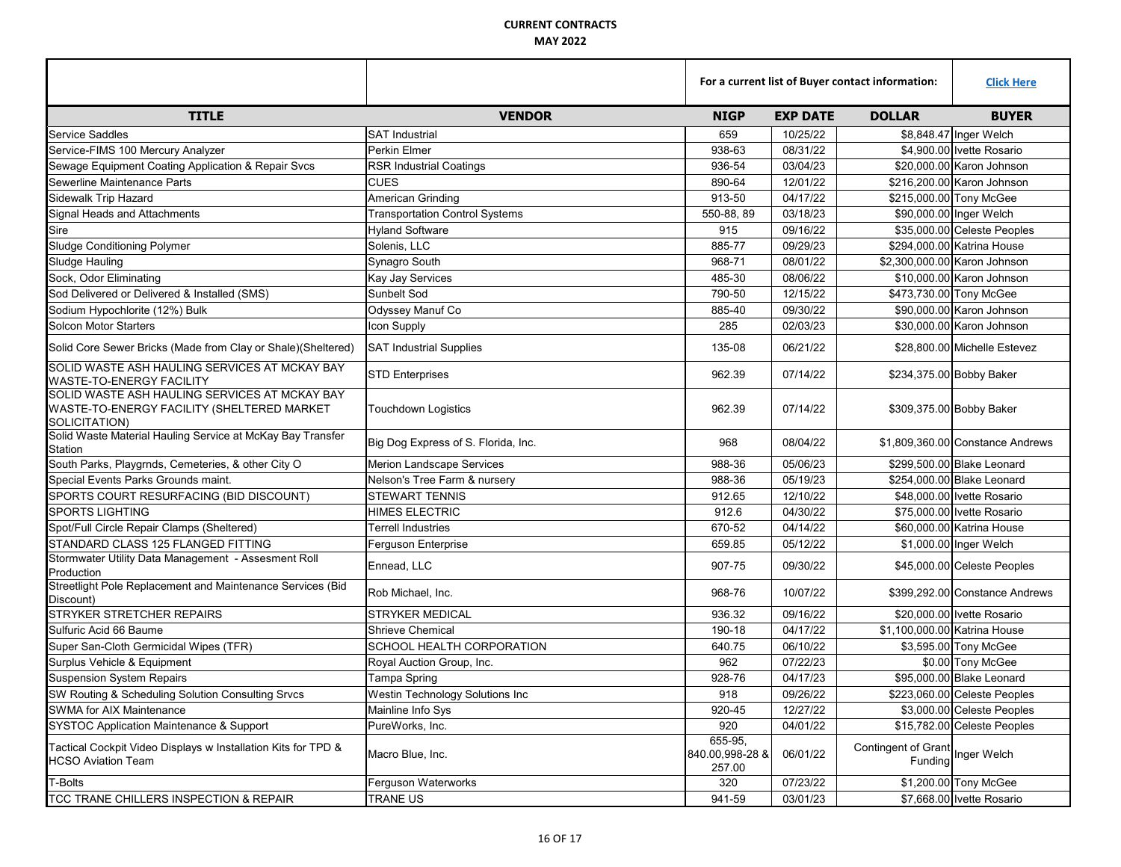|                                                                                                              |                                       | For a current list of Buyer contact information: |                 |                                            | <b>Click Here</b>                |
|--------------------------------------------------------------------------------------------------------------|---------------------------------------|--------------------------------------------------|-----------------|--------------------------------------------|----------------------------------|
| <b>TITLE</b>                                                                                                 | <b>VENDOR</b>                         | <b>NIGP</b>                                      | <b>EXP DATE</b> | <b>DOLLAR</b>                              | <b>BUYER</b>                     |
| <b>Service Saddles</b>                                                                                       | <b>SAT Industrial</b>                 | 659                                              | 10/25/22        |                                            | \$8,848.47 Inger Welch           |
| Service-FIMS 100 Mercury Analyzer                                                                            | Perkin Elmer                          | 938-63                                           | 08/31/22        |                                            | \$4,900.00 Ivette Rosario        |
| Sewage Equipment Coating Application & Repair Svcs                                                           | <b>RSR Industrial Coatings</b>        | 936-54                                           | 03/04/23        |                                            | \$20,000,00 Karon Johnson        |
| Sewerline Maintenance Parts                                                                                  | <b>CUES</b>                           | 890-64                                           | 12/01/22        |                                            | \$216,200.00 Karon Johnson       |
| Sidewalk Trip Hazard                                                                                         | American Grinding                     | 913-50                                           | 04/17/22        |                                            | \$215,000.00 Tony McGee          |
| Signal Heads and Attachments                                                                                 | <b>Transportation Control Systems</b> | 550-88, 89                                       | 03/18/23        |                                            | \$90,000.00 Inger Welch          |
| Sire                                                                                                         | <b>Hyland Software</b>                | 915                                              | 09/16/22        |                                            | \$35,000.00 Celeste Peoples      |
| <b>Sludge Conditioning Polymer</b>                                                                           | Solenis, LLC                          | 885-77                                           | 09/29/23        |                                            | \$294,000.00 Katrina House       |
| Sludge Hauling                                                                                               | Synagro South                         | 968-71                                           | 08/01/22        |                                            | \$2,300,000.00 Karon Johnson     |
| Sock, Odor Eliminating                                                                                       | Kay Jay Services                      | 485-30                                           | 08/06/22        |                                            | \$10,000.00 Karon Johnson        |
| Sod Delivered or Delivered & Installed (SMS)                                                                 | Sunbelt Sod                           | 790-50                                           | 12/15/22        |                                            | \$473,730.00 Tony McGee          |
| Sodium Hypochlorite (12%) Bulk                                                                               | Odyssey Manuf Co                      | 885-40                                           | 09/30/22        |                                            | \$90,000.00 Karon Johnson        |
| <b>Solcon Motor Starters</b>                                                                                 | Icon Supply                           | 285                                              | 02/03/23        |                                            | \$30,000.00 Karon Johnson        |
| Solid Core Sewer Bricks (Made from Clay or Shale)(Sheltered)                                                 | <b>SAT Industrial Supplies</b>        | 135-08                                           | 06/21/22        |                                            | \$28,800.00 Michelle Estevez     |
| SOLID WASTE ASH HAULING SERVICES AT MCKAY BAY<br><b>WASTE-TO-ENERGY FACILITY</b>                             | <b>STD Enterprises</b>                | 962.39                                           | 07/14/22        |                                            | \$234,375.00 Bobby Baker         |
| SOLID WASTE ASH HAULING SERVICES AT MCKAY BAY<br>WASTE-TO-ENERGY FACILITY (SHELTERED MARKET<br>SOLICITATION) | <b>Touchdown Logistics</b>            | 962.39                                           | 07/14/22        |                                            | \$309,375.00 Bobby Baker         |
| Solid Waste Material Hauling Service at McKay Bay Transfer<br>Station                                        | Big Dog Express of S. Florida, Inc.   | 968                                              | 08/04/22        |                                            | \$1,809,360.00 Constance Andrews |
| South Parks, Playgrnds, Cemeteries, & other City O                                                           | <b>Merion Landscape Services</b>      | 988-36                                           | 05/06/23        |                                            | \$299,500.00 Blake Leonard       |
| Special Events Parks Grounds maint.                                                                          | Nelson's Tree Farm & nursery          | 988-36                                           | 05/19/23        |                                            | \$254,000.00 Blake Leonard       |
| SPORTS COURT RESURFACING (BID DISCOUNT)                                                                      | <b>STEWART TENNIS</b>                 | 912.65                                           | 12/10/22        |                                            | \$48,000.00 Ivette Rosario       |
| <b>SPORTS LIGHTING</b>                                                                                       | <b>HIMES ELECTRIC</b>                 | 912.6                                            | 04/30/22        |                                            | \$75,000.00 Ivette Rosario       |
| Spot/Full Circle Repair Clamps (Sheltered)                                                                   | Terrell Industries                    | 670-52                                           | 04/14/22        |                                            | \$60,000.00 Katrina House        |
| STANDARD CLASS 125 FLANGED FITTING                                                                           | Ferguson Enterprise                   | 659.85                                           | 05/12/22        |                                            | \$1,000.00 Inger Welch           |
| Stormwater Utility Data Management - Assesment Roll<br>Production                                            | Ennead, LLC                           | 907-75                                           | 09/30/22        |                                            | \$45,000.00 Celeste Peoples      |
| Streetlight Pole Replacement and Maintenance Services (Bid<br>Discount)                                      | Rob Michael, Inc.                     | 968-76                                           | 10/07/22        |                                            | \$399,292.00 Constance Andrews   |
| STRYKER STRETCHER REPAIRS                                                                                    | <b>STRYKER MEDICAL</b>                | 936.32                                           | 09/16/22        |                                            | \$20,000.00 Ivette Rosario       |
| Sulfuric Acid 66 Baume                                                                                       | <b>Shrieve Chemical</b>               | 190-18                                           | 04/17/22        |                                            | \$1,100,000.00 Katrina House     |
| Super San-Cloth Germicidal Wipes (TFR)                                                                       | SCHOOL HEALTH CORPORATION             | 640.75                                           | 06/10/22        |                                            | \$3,595.00 Tony McGee            |
| Surplus Vehicle & Equipment                                                                                  | Royal Auction Group, Inc.             | 962                                              | 07/22/23        |                                            | \$0.00 Tony McGee                |
| <b>Suspension System Repairs</b>                                                                             | Tampa Spring                          | 928-76                                           | 04/17/23        |                                            | \$95,000.00 Blake Leonard        |
| SW Routing & Scheduling Solution Consulting Srvcs                                                            | Westin Technology Solutions Inc       | 918                                              | 09/26/22        |                                            | \$223,060.00 Celeste Peoples     |
| SWMA for AIX Maintenance                                                                                     | Mainline Info Sys                     | 920-45                                           | 12/27/22        |                                            | \$3,000.00 Celeste Peoples       |
| <b>SYSTOC Application Maintenance &amp; Support</b>                                                          | PureWorks, Inc.                       | 920                                              | 04/01/22        |                                            | \$15,782.00 Celeste Peoples      |
| Tactical Cockpit Video Displays w Installation Kits for TPD &<br><b>HCSO Aviation Team</b>                   | Macro Blue, Inc.                      | 655-95,<br>840.00,998-28 &<br>257.00             | 06/01/22        | Contingent of Grant<br>Funding Inger Welch |                                  |
| T-Bolts                                                                                                      | Ferguson Waterworks                   | 320                                              | 07/23/22        |                                            | \$1,200.00 Tony McGee            |
| TCC TRANE CHILLERS INSPECTION & REPAIR                                                                       | TRANE US                              | 941-59                                           | 03/01/23        |                                            | \$7,668.00 Ivette Rosario        |